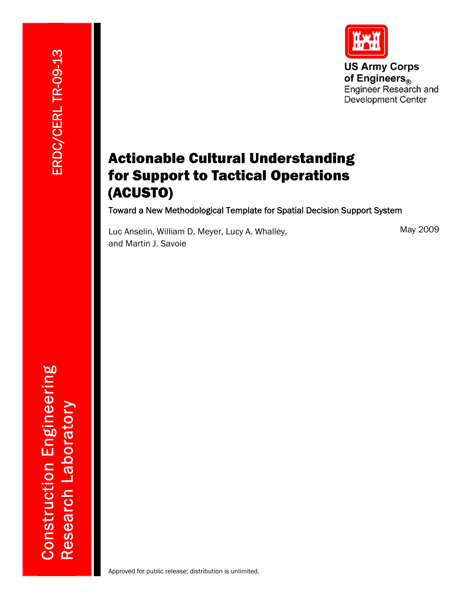**US Army Corps** of Engineers® Engineer Research and **Development Center** 

# Actionable Cultural Understanding for Support to Tactical Operations (ACUSTO)

Toward a New Methodological Template for Spatial Decision Support System

Luc Anselin, William D. Meyer, Lucy A. Whalley, and Martin J. Savoie

### May 2009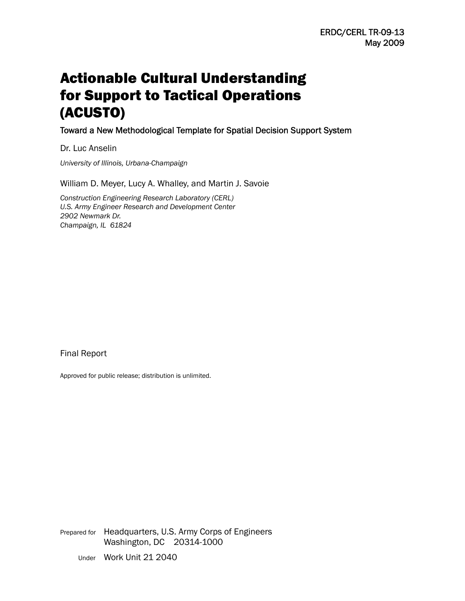# Actionable Cultural Understanding for Support to Tactical Operations (ACUSTO)

Toward a New Methodological Template for Spatial Decision Support System

Dr. Luc Anselin

*University of Illinois, Urbana-Champaign* 

William D. Meyer, Lucy A. Whalley, and Martin J. Savoie

*Construction Engineering Research Laboratory (CERL) U.S. Army Engineer Research and Development Center 2902 Newmark Dr. Champaign, IL 61824* 

Final Report

Approved for public release; distribution is unlimited.

Prepared for Headquarters, U.S. Army Corps of Engineers Washington, DC 20314-1000 Under Work Unit 21 2040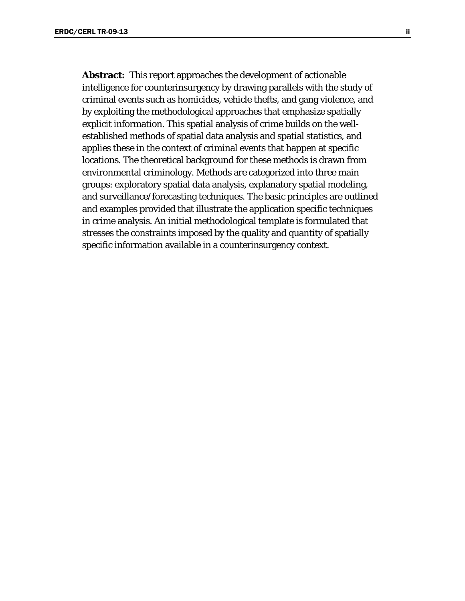**Abstract:** This report approaches the development of actionable intelligence for counterinsurgency by drawing parallels with the study of criminal events such as homicides, vehicle thefts, and gang violence, and by exploiting the methodological approaches that emphasize spatially explicit information. This spatial analysis of crime builds on the wellestablished methods of spatial data analysis and spatial statistics, and applies these in the context of criminal events that happen at specific locations. The theoretical background for these methods is drawn from environmental criminology. Methods are categorized into three main groups: exploratory spatial data analysis, explanatory spatial modeling, and surveillance/forecasting techniques. The basic principles are outlined and examples provided that illustrate the application specific techniques in crime analysis. An initial methodological template is formulated that stresses the constraints imposed by the quality and quantity of spatially specific information available in a counterinsurgency context.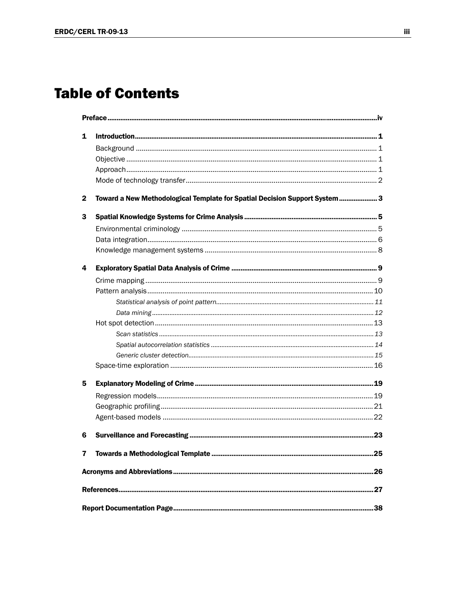# **Table of Contents**

| 1                                                                                          |                                   |     |  |  |  |
|--------------------------------------------------------------------------------------------|-----------------------------------|-----|--|--|--|
|                                                                                            |                                   |     |  |  |  |
|                                                                                            |                                   |     |  |  |  |
|                                                                                            |                                   |     |  |  |  |
|                                                                                            |                                   |     |  |  |  |
| Toward a New Methodological Template for Spatial Decision Support System 3<br>$\mathbf{2}$ |                                   |     |  |  |  |
| 3                                                                                          |                                   |     |  |  |  |
|                                                                                            |                                   |     |  |  |  |
|                                                                                            |                                   |     |  |  |  |
|                                                                                            |                                   |     |  |  |  |
| 4                                                                                          |                                   |     |  |  |  |
|                                                                                            |                                   |     |  |  |  |
|                                                                                            |                                   |     |  |  |  |
|                                                                                            |                                   |     |  |  |  |
|                                                                                            |                                   |     |  |  |  |
|                                                                                            |                                   |     |  |  |  |
|                                                                                            |                                   |     |  |  |  |
|                                                                                            |                                   |     |  |  |  |
|                                                                                            |                                   |     |  |  |  |
|                                                                                            |                                   |     |  |  |  |
| 5                                                                                          |                                   |     |  |  |  |
|                                                                                            |                                   |     |  |  |  |
|                                                                                            |                                   |     |  |  |  |
|                                                                                            |                                   |     |  |  |  |
| 6                                                                                          |                                   |     |  |  |  |
| $\mathbf{7}$                                                                               | Towards a Methodological Template | .25 |  |  |  |
|                                                                                            |                                   |     |  |  |  |
|                                                                                            |                                   |     |  |  |  |
|                                                                                            |                                   |     |  |  |  |
|                                                                                            |                                   |     |  |  |  |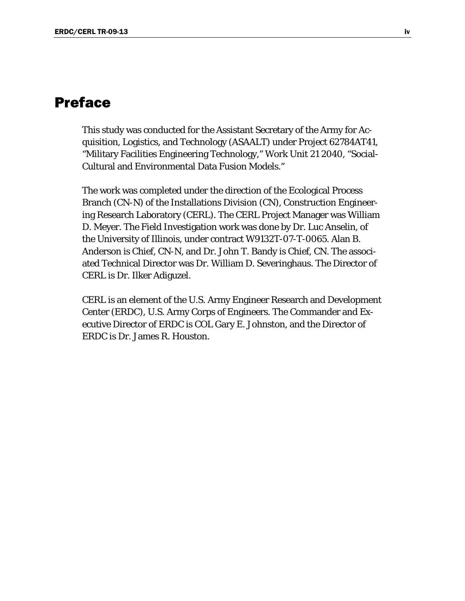# <span id="page-5-0"></span>Preface

This study was conducted for the Assistant Secretary of the Army for Acquisition, Logistics, and Technology (ASAALT) under Project 62784AT41, "Military Facilities Engineering Technology," Work Unit 21 2040, "Social-Cultural and Environmental Data Fusion Models."

The work was completed under the direction of the Ecological Process Branch (CN-N) of the Installations Division (CN), Construction Engineering Research Laboratory (CERL). The CERL Project Manager was William D. Meyer. The Field Investigation work was done by Dr. Luc Anselin, of the University of Illinois, under contract W9132T-07-T-0065. Alan B. Anderson is Chief, CN-N, and Dr. John T. Bandy is Chief, CN. The associated Technical Director was Dr. William D. Severinghaus. The Director of CERL is Dr. Ilker Adiguzel.

CERL is an element of the U.S. Army Engineer Research and Development Center (ERDC), U.S. Army Corps of Engineers. The Commander and Executive Director of ERDC is COL Gary E. Johnston, and the Director of ERDC is Dr. James R. Houston.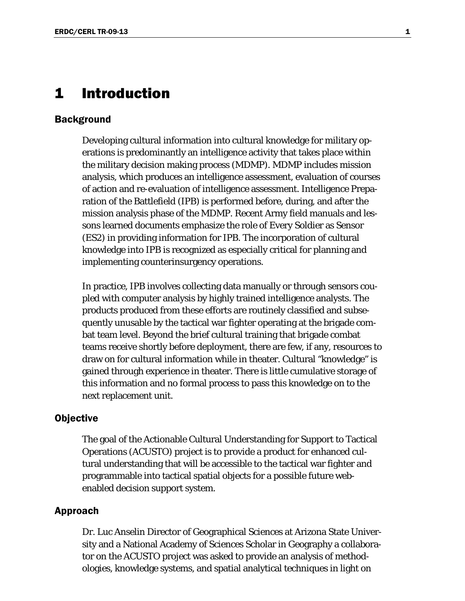### <span id="page-6-0"></span>1 Introduction

#### <span id="page-6-1"></span>**Background**

Developing cultural information into cultural knowledge for military operations is predominantly an intelligence activity that takes place within the military decision making process (MDMP). MDMP includes mission analysis, which produces an intelligence assessment, evaluation of courses of action and re-evaluation of intelligence assessment. Intelligence Preparation of the Battlefield (IPB) is performed before, during, and after the mission analysis phase of the MDMP. Recent Army field manuals and lessons learned documents emphasize the role of Every Soldier as Sensor (ES2) in providing information for IPB. The incorporation of cultural knowledge into IPB is recognized as especially critical for planning and implementing counterinsurgency operations.

In practice, IPB involves collecting data manually or through sensors coupled with computer analysis by highly trained intelligence analysts. The products produced from these efforts are routinely classified and subsequently unusable by the tactical war fighter operating at the brigade combat team level. Beyond the brief cultural training that brigade combat teams receive shortly before deployment, there are few, if any, resources to draw on for cultural information while in theater. Cultural "knowledge" is gained through experience in theater. There is little cumulative storage of this information and no formal process to pass this knowledge on to the next replacement unit.

### <span id="page-6-2"></span>**Objective**

The goal of the Actionable Cultural Understanding for Support to Tactical Operations (ACUSTO) project is to provide a product for enhanced cultural understanding that will be accessible to the tactical war fighter and programmable into tactical spatial objects for a possible future webenabled decision support system.

#### <span id="page-6-3"></span>Approach

Dr. Luc Anselin Director of Geographical Sciences at Arizona State University and a National Academy of Sciences Scholar in Geography a collaborator on the ACUSTO project was asked to provide an analysis of methodologies, knowledge systems, and spatial analytical techniques in light on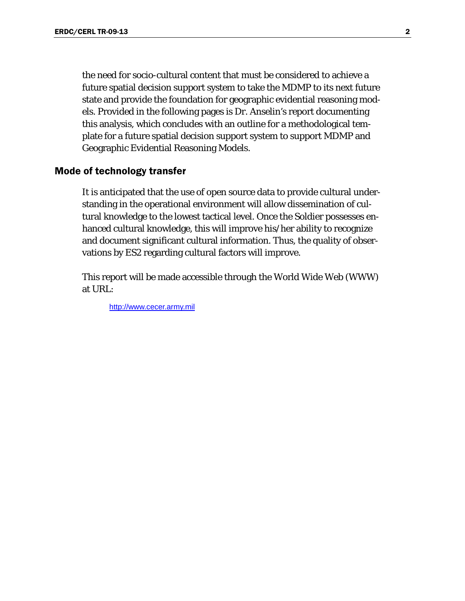the need for socio-cultural content that must be considered to achieve a future spatial decision support system to take the MDMP to its next future state and provide the foundation for geographic evidential reasoning models. Provided in the following pages is Dr. Anselin's report documenting this analysis, which concludes with an outline for a methodological template for a future spatial decision support system to support MDMP and Geographic Evidential Reasoning Models.

### <span id="page-7-0"></span>Mode of technology transfer

It is anticipated that the use of open source data to provide cultural understanding in the operational environment will allow dissemination of cultural knowledge to the lowest tactical level. Once the Soldier possesses enhanced cultural knowledge, this will improve his/her ability to recognize and document significant cultural information. Thus, the quality of observations by ES2 regarding cultural factors will improve.

This report will be made accessible through the World Wide Web (WWW) at URL:

http://www.cecer.army.mil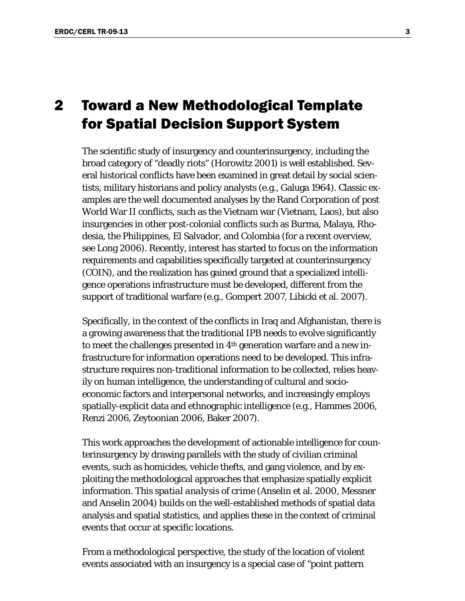# <span id="page-8-0"></span>2 Toward a New Methodological Template for Spatial Decision Support System

The scientific study of insurgency and counterinsurgency, including the broad category of "deadly riots" (Horowitz 2001) is well established. Several historical conflicts have been examined in great detail by social scientists, military historians and policy analysts (e.g., Galuga 1964). Classic examples are the well documented analyses by the Rand Corporation of post World War II conflicts, such as the Vietnam war (Vietnam, Laos), but also insurgencies in other post-colonial conflicts such as Burma, Malaya, Rhodesia, the Philippines, El Salvador, and Colombia (for a recent overview, see Long 2006). Recently, interest has started to focus on the information requirements and capabilities specifically targeted at counterinsurgency (COIN), and the realization has gained ground that a specialized intelligence operations infrastructure must be developed, different from the support of traditional warfare (e.g., Gompert 2007, Libicki et al. 2007).

Specifically, in the context of the conflicts in Iraq and Afghanistan, there is a growing awareness that the traditional IPB needs to evolve significantly to meet the challenges presented in 4th generation warfare and a new infrastructure for information operations need to be developed. This infrastructure requires non-traditional information to be collected, relies heavily on human intelligence, the understanding of cultural and socioeconomic factors and interpersonal networks, and increasingly employs spatially-explicit data and ethnographic intelligence (e.g., Hammes 2006, Renzi 2006, Zeytoonian 2006, Baker 2007).

This work approaches the development of actionable intelligence for counterinsurgency by drawing parallels with the study of civilian criminal events, such as homicides, vehicle thefts, and gang violence, and by exploiting the methodological approaches that emphasize spatially explicit information. This *spatial analysis of crime* (Anselin et al. 2000, Messner and Anselin 2004) builds on the well-established methods of spatial data analysis and spatial statistics, and applies these in the context of criminal events that occur at specific locations.

From a methodological perspective, the study of the location of violent events associated with an insurgency is a special case of "point pattern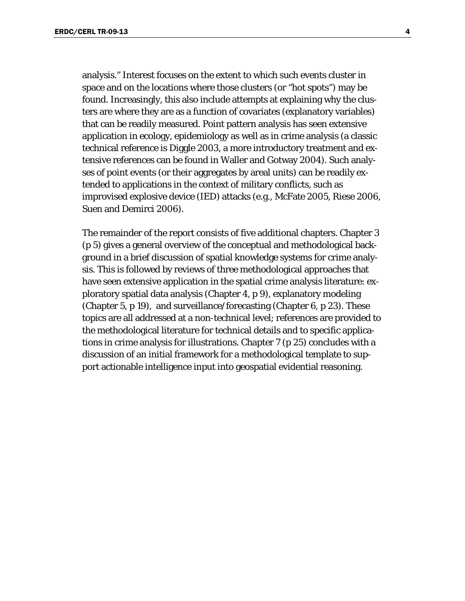analysis." Interest focuses on the extent to which such events cluster in space and on the locations where those clusters (or "hot spots") may be found. Increasingly, this also include attempts at explaining why the clusters are where they are as a function of covariates (explanatory variables) that can be readily measured. Point pattern analysis has seen extensive application in ecology, epidemiology as well as in crime analysis (a classic technical reference is Diggle 2003, a more introductory treatment and extensive references can be found in Waller and Gotway 2004). Such analyses of point events (or their aggregates by areal units) can be readily extended to applications in the context of military conflicts, such as improvised explosive device (IED) attacks (e.g., McFate 2005, Riese 2006, Suen and Demirci 2006).

The remainder of the report consists of five additional chapters. Chapter 3 (p [5\)](#page-10-0) gives a general overview of the conceptual and methodological background in a brief discussion of spatial knowledge systems for crime analysis. This is followed by reviews of three methodological approaches that have seen extensive application in the spatial crime analysis literature: exploratory spatial data analysis (Chapter 4, p [9\)](#page-14-0), explanatory modeling (Chapter 5, p [19\)](#page-24-0), and surveillance/forecasting (Chapter 6, p [23\)](#page-28-0). These topics are all addressed at a non-technical level; references are provided to the methodological literature for technical details and to specific applications in crime analysis for illustrations. Chapter 7 (p [25](#page-30-0)) concludes with a discussion of an initial framework for a methodological template to support actionable intelligence input into geospatial evidential reasoning.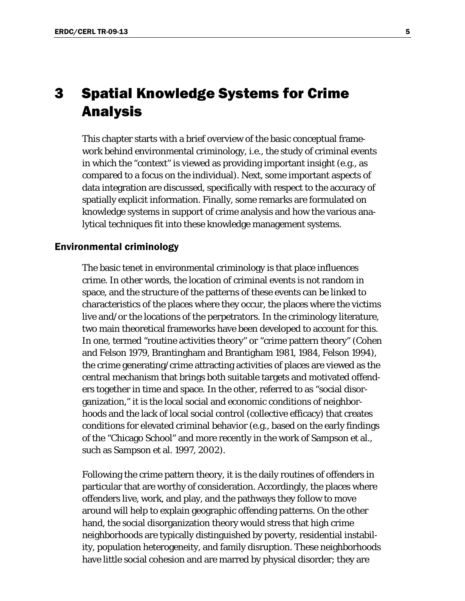# <span id="page-10-0"></span>3 Spatial Knowledge Systems for Crime Analysis

This chapter starts with a brief overview of the basic conceptual framework behind environmental criminology, i.e., the study of criminal events in which the "context" is viewed as providing important insight (e.g., as compared to a focus on the individual). Next, some important aspects of data integration are discussed, specifically with respect to the accuracy of spatially explicit information. Finally, some remarks are formulated on knowledge systems in support of crime analysis and how the various analytical techniques fit into these knowledge management systems.

### <span id="page-10-1"></span>Environmental criminology

The basic tenet in environmental criminology is that place influences crime. In other words, the location of criminal events is not random in space, and the structure of the patterns of these events can be linked to characteristics of the places where they occur, the places where the victims live and/or the locations of the perpetrators. In the criminology literature, two main theoretical frameworks have been developed to account for this. In one, termed "routine activities theory" or "crime pattern theory" (Cohen and Felson 1979, Brantingham and Brantigham 1981, 1984, Felson 1994), the crime generating/crime attracting activities of places are viewed as the central mechanism that brings both suitable targets and motivated offenders together in time and space. In the other, referred to as "social disorganization," it is the local social and economic conditions of neighborhoods and the lack of local social control (collective efficacy) that creates conditions for elevated criminal behavior (e.g., based on the early findings of the "Chicago School" and more recently in the work of Sampson et al., such as Sampson et al. 1997, 2002).

Following the crime pattern theory, it is the daily routines of offenders in particular that are worthy of consideration. Accordingly, the places where offenders live, work, and play, and the pathways they follow to move around will help to explain geographic offending patterns. On the other hand, the social disorganization theory would stress that high crime neighborhoods are typically distinguished by poverty, residential instability, population heterogeneity, and family disruption. These neighborhoods have little social cohesion and are marred by physical disorder; they are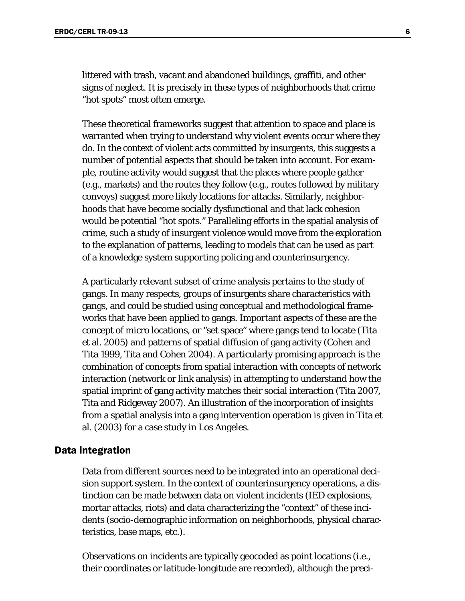littered with trash, vacant and abandoned buildings, graffiti, and other signs of neglect. It is precisely in these types of neighborhoods that crime "hot spots" most often emerge.

These theoretical frameworks suggest that attention to space and place is warranted when trying to understand why violent events occur where they do. In the context of violent acts committed by insurgents, this suggests a number of potential aspects that should be taken into account. For example, routine activity would suggest that the places where people gather (e.g., markets) and the routes they follow (e.g., routes followed by military convoys) suggest more likely locations for attacks. Similarly, neighborhoods that have become socially dysfunctional and that lack cohesion would be potential "hot spots." Paralleling efforts in the spatial analysis of crime, such a study of insurgent violence would move from the exploration to the explanation of patterns, leading to models that can be used as part of a knowledge system supporting policing and counterinsurgency.

A particularly relevant subset of crime analysis pertains to the study of gangs. In many respects, groups of insurgents share characteristics with gangs, and could be studied using conceptual and methodological frameworks that have been applied to gangs. Important aspects of these are the concept of micro locations, or "set space" where gangs tend to locate (Tita et al. 2005) and patterns of spatial diffusion of gang activity (Cohen and Tita 1999, Tita and Cohen 2004). A particularly promising approach is the combination of concepts from spatial interaction with concepts of network interaction (network or link analysis) in attempting to understand how the spatial imprint of gang activity matches their social interaction (Tita 2007, Tita and Ridgeway 2007). An illustration of the incorporation of insights from a spatial analysis into a gang intervention operation is given in Tita et al. (2003) for a case study in Los Angeles.

#### <span id="page-11-0"></span>Data integration

Data from different sources need to be integrated into an operational decision support system. In the context of counterinsurgency operations, a distinction can be made between data on violent incidents (IED explosions, mortar attacks, riots) and data characterizing the "context" of these incidents (socio-demographic information on neighborhoods, physical characteristics, base maps, etc.).

Observations on incidents are typically geocoded as point locations (i.e., their coordinates or latitude-longitude are recorded), although the preci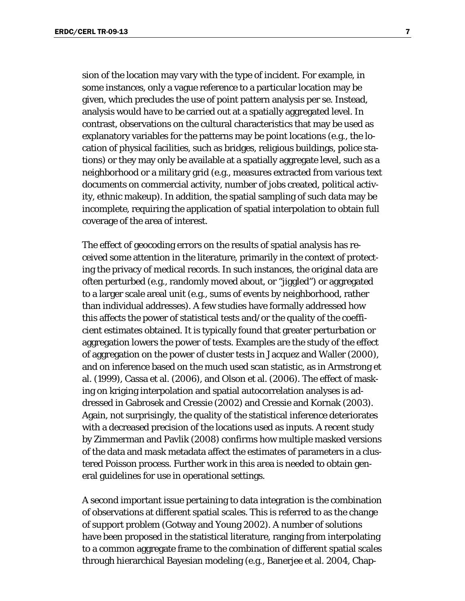sion of the location may vary with the type of incident. For example, in some instances, only a vague reference to a particular location may be given, which precludes the use of point pattern analysis per se. Instead, analysis would have to be carried out at a spatially aggregated level. In contrast, observations on the cultural characteristics that may be used as explanatory variables for the patterns may be point locations (e.g., the location of physical facilities, such as bridges, religious buildings, police stations) or they may only be available at a spatially aggregate level, such as a neighborhood or a military grid (e.g., measures extracted from various text documents on commercial activity, number of jobs created, political activity, ethnic makeup). In addition, the spatial sampling of such data may be incomplete, requiring the application of spatial interpolation to obtain full coverage of the area of interest.

The effect of geocoding errors on the results of spatial analysis has received some attention in the literature, primarily in the context of protecting the privacy of medical records. In such instances, the original data are often perturbed (e.g., randomly moved about, or "jiggled") or aggregated to a larger scale areal unit (e.g., sums of events by neighborhood, rather than individual addresses). A few studies have formally addressed how this affects the power of statistical tests and/or the quality of the coefficient estimates obtained. It is typically found that greater perturbation or aggregation lowers the power of tests. Examples are the study of the effect of aggregation on the power of cluster tests in Jacquez and Waller (2000), and on inference based on the much used scan statistic, as in Armstrong et al. (1999), Cassa et al. (2006), and Olson et al. (2006). The effect of masking on kriging interpolation and spatial autocorrelation analyses is addressed in Gabrosek and Cressie (2002) and Cressie and Kornak (2003). Again, not surprisingly, the quality of the statistical inference deteriorates with a decreased precision of the locations used as inputs. A recent study by Zimmerman and Pavlik (2008) confirms how multiple masked versions of the data and mask metadata affect the estimates of parameters in a clustered Poisson process. Further work in this area is needed to obtain general guidelines for use in operational settings.

A second important issue pertaining to data integration is the combination of observations at different spatial scales. This is referred to as the change of support problem (Gotway and Young 2002). A number of solutions have been proposed in the statistical literature, ranging from interpolating to a common aggregate frame to the combination of different spatial scales through hierarchical Bayesian modeling (e.g., Banerjee et al. 2004, Chap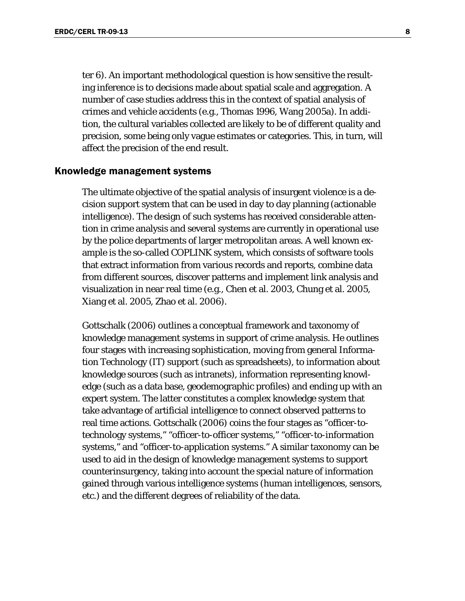ter 6). An important methodological question is how sensitive the resulting inference is to decisions made about spatial scale and aggregation. A number of case studies address this in the context of spatial analysis of crimes and vehicle accidents (e.g., Thomas 1996, Wang 2005a). In addition, the cultural variables collected are likely to be of different quality and precision, some being only vague estimates or categories. This, in turn, will affect the precision of the end result.

### <span id="page-13-0"></span>Knowledge management systems

The ultimate objective of the spatial analysis of insurgent violence is a decision support system that can be used in day to day planning (actionable intelligence). The design of such systems has received considerable attention in crime analysis and several systems are currently in operational use by the police departments of larger metropolitan areas. A well known example is the so-called COPLINK system, which consists of software tools that extract information from various records and reports, combine data from different sources, discover patterns and implement link analysis and visualization in near real time (e.g., Chen et al. 2003, Chung et al. 2005, Xiang et al. 2005, Zhao et al. 2006).

Gottschalk (2006) outlines a conceptual framework and taxonomy of knowledge management systems in support of crime analysis. He outlines four stages with increasing sophistication, moving from general Information Technology (IT) support (such as spreadsheets), to information about knowledge sources (such as intranets), information representing knowledge (such as a data base, geodemographic profiles) and ending up with an expert system. The latter constitutes a complex knowledge system that take advantage of artificial intelligence to connect observed patterns to real time actions. Gottschalk (2006) coins the four stages as "officer-totechnology systems," "officer-to-officer systems," "officer-to-information systems," and "officer-to-application systems." A similar taxonomy can be used to aid in the design of knowledge management systems to support counterinsurgency, taking into account the special nature of information gained through various intelligence systems (human intelligences, sensors, etc.) and the different degrees of reliability of the data.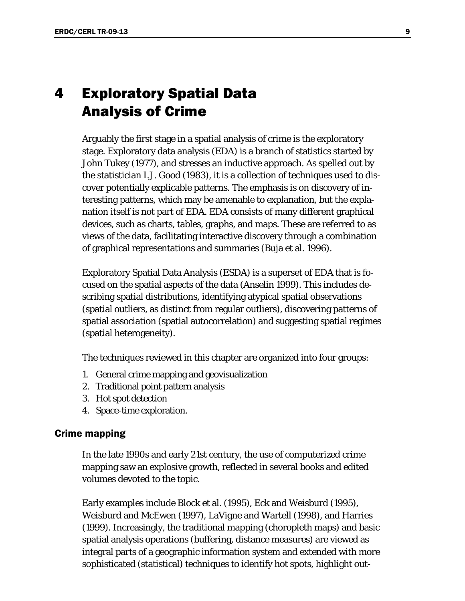# <span id="page-14-0"></span>4 Exploratory Spatial Data Analysis of Crime

Arguably the first stage in a spatial analysis of crime is the exploratory stage. Exploratory data analysis (EDA) is a branch of statistics started by John Tukey (1977), and stresses an inductive approach. As spelled out by the statistician I.J. Good (1983), it is a collection of techniques used to discover potentially explicable patterns. The emphasis is on discovery of interesting patterns, which may be amenable to explanation, but the explanation itself is not part of EDA. EDA consists of many different graphical devices, such as charts, tables, graphs, and maps. These are referred to as views of the data, facilitating interactive discovery through a combination of graphical representations and summaries (Buja et al. 1996).

Exploratory Spatial Data Analysis (ESDA) is a superset of EDA that is focused on the spatial aspects of the data (Anselin 1999). This includes describing spatial distributions, identifying atypical spatial observations (spatial outliers, as distinct from regular outliers), discovering patterns of spatial association (spatial autocorrelation) and suggesting spatial regimes (spatial heterogeneity).

The techniques reviewed in this chapter are organized into four groups:

- 1. General crime mapping and geovisualization
- 2. Traditional point pattern analysis
- 3. Hot spot detection
- 4. Space-time exploration.

#### <span id="page-14-1"></span>Crime mapping

In the late 1990s and early 21st century, the use of computerized crime mapping saw an explosive growth, reflected in several books and edited volumes devoted to the topic.

Early examples include Block et al. (1995), Eck and Weisburd (1995), Weisburd and McEwen (1997), LaVigne and Wartell (1998), and Harries (1999). Increasingly, the traditional mapping (choropleth maps) and basic spatial analysis operations (buffering, distance measures) are viewed as integral parts of a geographic information system and extended with more sophisticated (statistical) techniques to identify hot spots, highlight out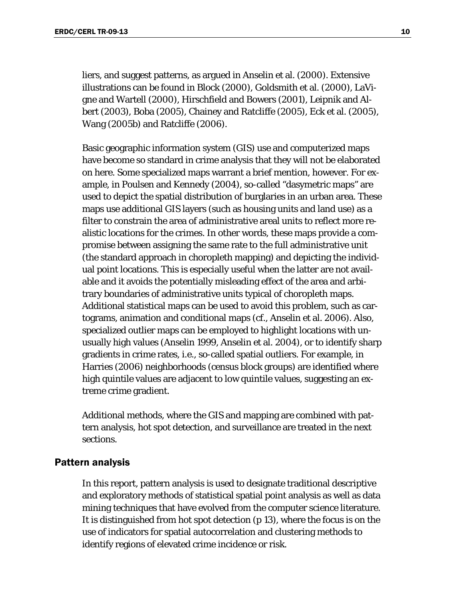liers, and suggest patterns, as argued in Anselin et al. (2000). Extensive illustrations can be found in Block (2000), Goldsmith et al. (2000), LaVigne and Wartell (2000), Hirschfield and Bowers (2001), Leipnik and Albert (2003), Boba (2005), Chainey and Ratcliffe (2005), Eck et al. (2005), Wang (2005b) and Ratcliffe (2006).

Basic geographic information system (GIS) use and computerized maps have become so standard in crime analysis that they will not be elaborated on here. Some specialized maps warrant a brief mention, however. For example, in Poulsen and Kennedy (2004), so-called "dasymetric maps" are used to depict the spatial distribution of burglaries in an urban area. These maps use additional GIS layers (such as housing units and land use) as a filter to constrain the area of administrative areal units to reflect more realistic locations for the crimes. In other words, these maps provide a compromise between assigning the same rate to the full administrative unit (the standard approach in choropleth mapping) and depicting the individual point locations. This is especially useful when the latter are not available and it avoids the potentially misleading effect of the area and arbitrary boundaries of administrative units typical of choropleth maps. Additional statistical maps can be used to avoid this problem, such as cartograms, animation and conditional maps (cf., Anselin et al. 2006). Also, specialized outlier maps can be employed to highlight locations with unusually high values (Anselin 1999, Anselin et al. 2004), or to identify sharp gradients in crime rates, i.e., so-called spatial outliers. For example, in Harries (2006) neighborhoods (census block groups) are identified where high quintile values are adjacent to low quintile values, suggesting an extreme crime gradient.

Additional methods, where the GIS and mapping are combined with pattern analysis, hot spot detection, and surveillance are treated in the next sections.

### <span id="page-15-0"></span>Pattern analysis

In this report, pattern analysis is used to designate traditional descriptive and exploratory methods of statistical spatial point analysis as well as data mining techniques that have evolved from the computer science literature. It is distinguished from hot spot detection (p [13\)](#page-18-0), where the focus is on the use of indicators for spatial autocorrelation and clustering methods to identify regions of elevated crime incidence or risk.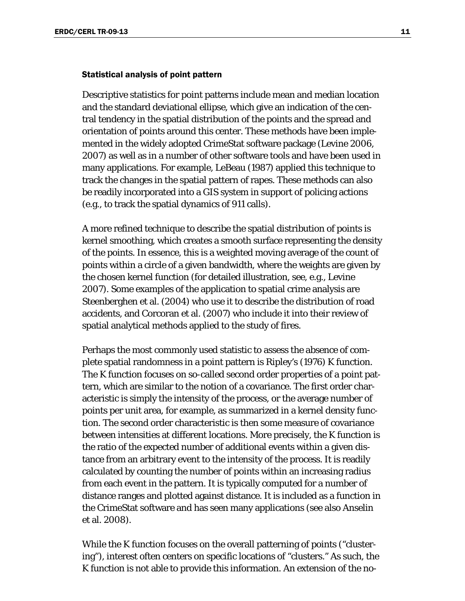#### <span id="page-16-0"></span>Statistical analysis of point pattern

Descriptive statistics for point patterns include mean and median location and the standard deviational ellipse, which give an indication of the central tendency in the spatial distribution of the points and the spread and orientation of points around this center. These methods have been implemented in the widely adopted CrimeStat software package (Levine 2006, 2007) as well as in a number of other software tools and have been used in many applications. For example, LeBeau (1987) applied this technique to track the changes in the spatial pattern of rapes. These methods can also be readily incorporated into a GIS system in support of policing actions (e.g., to track the spatial dynamics of 911 calls).

A more refined technique to describe the spatial distribution of points is kernel smoothing, which creates a smooth surface representing the density of the points. In essence, this is a weighted moving average of the count of points within a circle of a given bandwidth, where the weights are given by the chosen kernel function (for detailed illustration, see, e.g., Levine 2007). Some examples of the application to spatial crime analysis are Steenberghen et al. (2004) who use it to describe the distribution of road accidents, and Corcoran et al. (2007) who include it into their review of spatial analytical methods applied to the study of fires.

Perhaps the most commonly used statistic to assess the absence of complete spatial randomness in a point pattern is Ripley's (1976) K function. The K function focuses on so-called second order properties of a point pattern, which are similar to the notion of a covariance. The first order characteristic is simply the intensity of the process, or the average number of points per unit area, for example, as summarized in a kernel density function. The second order characteristic is then some measure of covariance between intensities at different locations. More precisely, the K function is the ratio of the expected number of additional events within a given distance from an arbitrary event to the intensity of the process. It is readily calculated by counting the number of points within an increasing radius from each event in the pattern. It is typically computed for a number of distance ranges and plotted against distance. It is included as a function in the CrimeStat software and has seen many applications (see also Anselin et al. 2008).

While the K function focuses on the overall patterning of points ("clustering"), interest often centers on specific locations of "clusters." As such, the K function is not able to provide this information. An extension of the no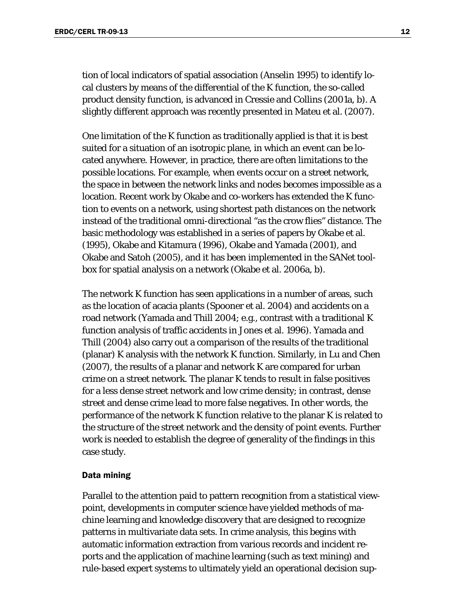tion of local indicators of spatial association (Anselin 1995) to identify local clusters by means of the differential of the K function, the so-called product density function, is advanced in Cressie and Collins (2001a, b). A slightly different approach was recently presented in Mateu et al. (2007).

One limitation of the K function as traditionally applied is that it is best suited for a situation of an isotropic plane, in which an event can be located anywhere. However, in practice, there are often limitations to the possible locations. For example, when events occur on a street network, the space in between the network links and nodes becomes impossible as a location. Recent work by Okabe and co-workers has extended the K function to events on a network, using shortest path distances on the network instead of the traditional omni-directional "as the crow flies" distance. The basic methodology was established in a series of papers by Okabe et al. (1995), Okabe and Kitamura (1996), Okabe and Yamada (2001), and Okabe and Satoh (2005), and it has been implemented in the SANet toolbox for spatial analysis on a network (Okabe et al. 2006a, b).

The network K function has seen applications in a number of areas, such as the location of acacia plants (Spooner et al. 2004) and accidents on a road network (Yamada and Thill 2004; e.g., contrast with a traditional K function analysis of traffic accidents in Jones et al. 1996). Yamada and Thill (2004) also carry out a comparison of the results of the traditional (planar) K analysis with the network K function. Similarly, in Lu and Chen (2007), the results of a planar and network K are compared for urban crime on a street network. The planar K tends to result in false positives for a less dense street network and low crime density; in contrast, dense street and dense crime lead to more false negatives. In other words, the performance of the network K function relative to the planar K is related to the structure of the street network and the density of point events. Further work is needed to establish the degree of generality of the findings in this case study.

#### <span id="page-17-0"></span>Data mining

Parallel to the attention paid to pattern recognition from a statistical viewpoint, developments in computer science have yielded methods of machine learning and knowledge discovery that are designed to recognize patterns in multivariate data sets. In crime analysis, this begins with automatic information extraction from various records and incident reports and the application of machine learning (such as text mining) and rule-based expert systems to ultimately yield an operational decision sup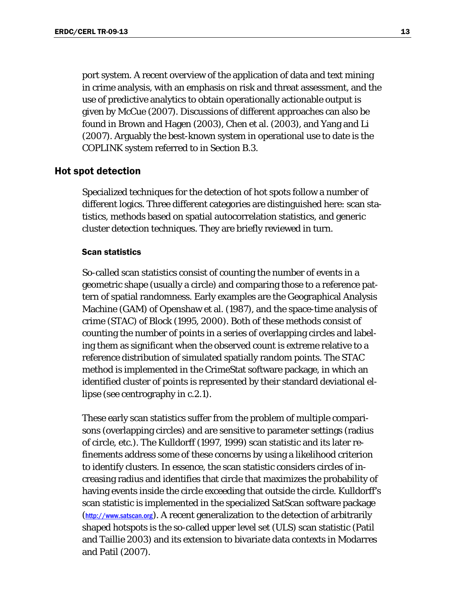port system. A recent overview of the application of data and text mining in crime analysis, with an emphasis on risk and threat assessment, and the use of predictive analytics to obtain operationally actionable output is given by McCue (2007). Discussions of different approaches can also be found in Brown and Hagen (2003), Chen et al. (2003), and Yang and Li (2007). Arguably the best-known system in operational use to date is the COPLINK system referred to in Section B.3.

#### <span id="page-18-0"></span>Hot spot detection

Specialized techniques for the detection of hot spots follow a number of different logics. Three different categories are distinguished here: scan statistics, methods based on spatial autocorrelation statistics, and generic cluster detection techniques. They are briefly reviewed in turn.

#### <span id="page-18-1"></span>Scan statistics

So-called scan statistics consist of counting the number of events in a geometric shape (usually a circle) and comparing those to a reference pattern of spatial randomness. Early examples are the Geographical Analysis Machine (GAM) of Openshaw et al. (1987), and the space-time analysis of crime (STAC) of Block (1995, 2000). Both of these methods consist of counting the number of points in a series of overlapping circles and labeling them as significant when the observed count is extreme relative to a reference distribution of simulated spatially random points. The STAC method is implemented in the CrimeStat software package, in which an identified cluster of points is represented by their standard deviational ellipse (see centrography in c.2.1).

These early scan statistics suffer from the problem of multiple comparisons (overlapping circles) and are sensitive to parameter settings (radius of circle, etc.). The Kulldorff (1997, 1999) scan statistic and its later refinements address some of these concerns by using a likelihood criterion to identify clusters. In essence, the scan statistic considers circles of increasing radius and identifies that circle that maximizes the probability of having events inside the circle exceeding that outside the circle. Kulldorff's scan statistic is implemented in the specialized SatScan software package (http://www.satscan.org). A recent generalization to the detection of arbitrarily shaped hotspots is the so-called upper level set (ULS) scan statistic (Patil and Taillie 2003) and its extension to bivariate data contexts in Modarres and Patil (2007).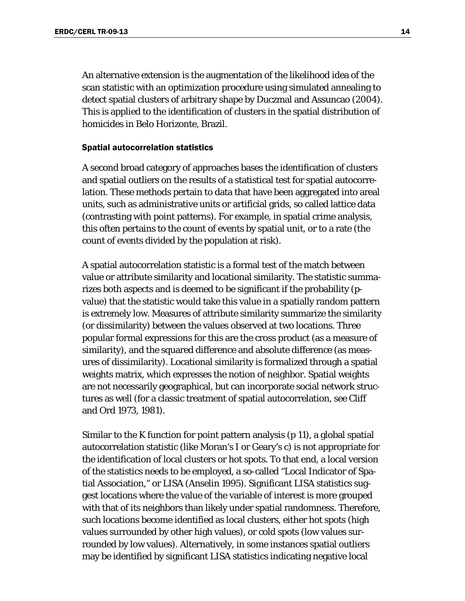An alternative extension is the augmentation of the likelihood idea of the scan statistic with an optimization procedure using simulated annealing to detect spatial clusters of arbitrary shape by Duczmal and Assuncao (2004). This is applied to the identification of clusters in the spatial distribution of homicides in Belo Horizonte, Brazil.

#### <span id="page-19-0"></span>Spatial autocorrelation statistics

A second broad category of approaches bases the identification of clusters and spatial outliers on the results of a statistical test for spatial autocorrelation. These methods pertain to data that have been aggregated into areal units, such as administrative units or artificial grids, so called lattice data (contrasting with point patterns). For example, in spatial crime analysis, this often pertains to the count of events by spatial unit, or to a rate (the count of events divided by the population at risk).

A spatial autocorrelation statistic is a formal test of the match between value or attribute similarity and locational similarity. The statistic summarizes both aspects and is deemed to be significant if the probability (pvalue) that the statistic would take this value in a spatially random pattern is extremely low. Measures of attribute similarity summarize the similarity (or dissimilarity) between the values observed at two locations. Three popular formal expressions for this are the cross product (as a measure of similarity), and the squared difference and absolute difference (as measures of dissimilarity). Locational similarity is formalized through a spatial weights matrix, which expresses the notion of neighbor. Spatial weights are not necessarily geographical, but can incorporate social network structures as well (for a classic treatment of spatial autocorrelation, see Cliff and Ord 1973, 1981).

Similar to the K function for point pattern analysis (p [11\)](#page-16-0), a global spatial autocorrelation statistic (like Moran's I or Geary's c) is not appropriate for the identification of local clusters or hot spots. To that end, a local version of the statistics needs to be employed, a so-called "Local Indicator of Spatial Association," or LISA (Anselin 1995). Significant LISA statistics suggest locations where the value of the variable of interest is more grouped with that of its neighbors than likely under spatial randomness. Therefore, such locations become identified as local clusters, either hot spots (high values surrounded by other high values), or cold spots (low values surrounded by low values). Alternatively, in some instances spatial outliers may be identified by significant LISA statistics indicating negative local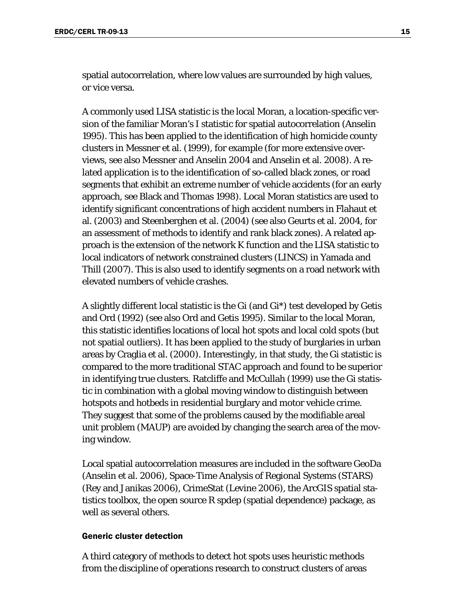spatial autocorrelation, where low values are surrounded by high values, or vice versa.

A commonly used LISA statistic is the local Moran, a location-specific version of the familiar Moran's I statistic for spatial autocorrelation (Anselin 1995). This has been applied to the identification of high homicide county clusters in Messner et al. (1999), for example (for more extensive overviews, see also Messner and Anselin 2004 and Anselin et al. 2008). A related application is to the identification of so-called black zones, or road segments that exhibit an extreme number of vehicle accidents (for an early approach, see Black and Thomas 1998). Local Moran statistics are used to identify significant concentrations of high accident numbers in Flahaut et al. (2003) and Steenberghen et al. (2004) (see also Geurts et al. 2004, for an assessment of methods to identify and rank black zones). A related approach is the extension of the network K function and the LISA statistic to local indicators of network constrained clusters (LINCS) in Yamada and Thill (2007). This is also used to identify segments on a road network with elevated numbers of vehicle crashes.

A slightly different local statistic is the Gi (and Gi\*) test developed by Getis and Ord (1992) (see also Ord and Getis 1995). Similar to the local Moran, this statistic identifies locations of local hot spots and local cold spots (but not spatial outliers). It has been applied to the study of burglaries in urban areas by Craglia et al. (2000). Interestingly, in that study, the Gi statistic is compared to the more traditional STAC approach and found to be superior in identifying true clusters. Ratcliffe and McCullah (1999) use the Gi statistic in combination with a global moving window to distinguish between hotspots and hotbeds in residential burglary and motor vehicle crime. They suggest that some of the problems caused by the modifiable areal unit problem (MAUP) are avoided by changing the search area of the moving window.

Local spatial autocorrelation measures are included in the software GeoDa (Anselin et al. 2006), Space-Time Analysis of Regional Systems (STARS) (Rey and Janikas 2006), CrimeStat (Levine 2006), the ArcGIS spatial statistics toolbox, the open source R spdep (spatial dependence) package, as well as several others.

#### <span id="page-20-0"></span>Generic cluster detection

A third category of methods to detect hot spots uses heuristic methods from the discipline of operations research to construct clusters of areas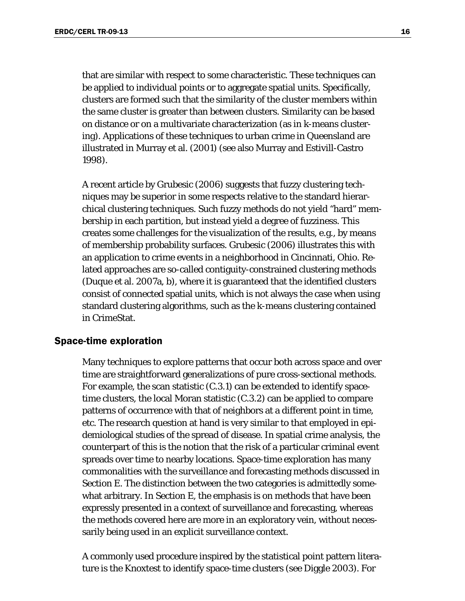that are similar with respect to some characteristic. These techniques can be applied to individual points or to aggregate spatial units. Specifically, clusters are formed such that the similarity of the cluster members within the same cluster is greater than between clusters. Similarity can be based on distance or on a multivariate characterization (as in k-means clustering). Applications of these techniques to urban crime in Queensland are illustrated in Murray et al. (2001) (see also Murray and Estivill-Castro 1998).

A recent article by Grubesic (2006) suggests that fuzzy clustering techniques may be superior in some respects relative to the standard hierarchical clustering techniques. Such fuzzy methods do not yield "hard" membership in each partition, but instead yield a degree of fuzziness. This creates some challenges for the visualization of the results, e.g., by means of membership probability surfaces. Grubesic (2006) illustrates this with an application to crime events in a neighborhood in Cincinnati, Ohio. Related approaches are so-called contiguity-constrained clustering methods (Duque et al. 2007a, b), where it is guaranteed that the identified clusters consist of connected spatial units, which is not always the case when using standard clustering algorithms, such as the k-means clustering contained in CrimeStat.

#### <span id="page-21-0"></span>Space-time exploration

Many techniques to explore patterns that occur both across space and over time are straightforward generalizations of pure cross-sectional methods. For example, the scan statistic (C.3.1) can be extended to identify spacetime clusters, the local Moran statistic (C.3.2) can be applied to compare patterns of occurrence with that of neighbors at a different point in time, etc. The research question at hand is very similar to that employed in epidemiological studies of the spread of disease. In spatial crime analysis, the counterpart of this is the notion that the risk of a particular criminal event spreads over time to nearby locations. Space-time exploration has many commonalities with the surveillance and forecasting methods discussed in Section E. The distinction between the two categories is admittedly somewhat arbitrary. In Section E, the emphasis is on methods that have been expressly presented in a context of surveillance and forecasting, whereas the methods covered here are more in an exploratory vein, without necessarily being used in an explicit surveillance context.

A commonly used procedure inspired by the statistical point pattern literature is the Knoxtest to identify space-time clusters (see Diggle 2003). For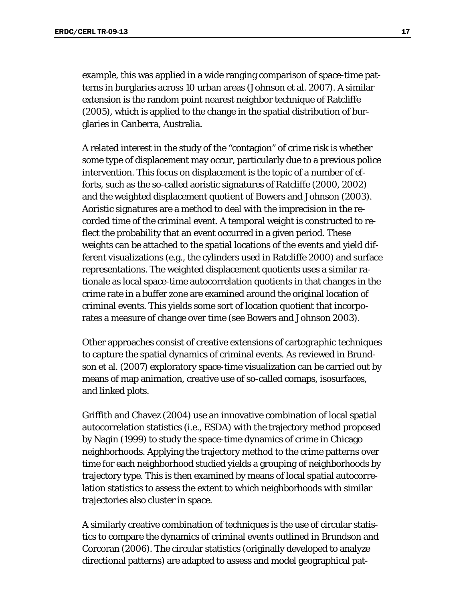example, this was applied in a wide ranging comparison of space-time patterns in burglaries across 10 urban areas (Johnson et al. 2007). A similar extension is the random point nearest neighbor technique of Ratcliffe (2005), which is applied to the change in the spatial distribution of burglaries in Canberra, Australia.

A related interest in the study of the "contagion" of crime risk is whether some type of displacement may occur, particularly due to a previous police intervention. This focus on displacement is the topic of a number of efforts, such as the so-called aoristic signatures of Ratcliffe (2000, 2002) and the weighted displacement quotient of Bowers and Johnson (2003). Aoristic signatures are a method to deal with the imprecision in the recorded time of the criminal event. A temporal weight is constructed to reflect the probability that an event occurred in a given period. These weights can be attached to the spatial locations of the events and yield different visualizations (e.g., the cylinders used in Ratcliffe 2000) and surface representations. The weighted displacement quotients uses a similar rationale as local space-time autocorrelation quotients in that changes in the crime rate in a buffer zone are examined around the original location of criminal events. This yields some sort of location quotient that incorporates a measure of change over time (see Bowers and Johnson 2003).

Other approaches consist of creative extensions of cartographic techniques to capture the spatial dynamics of criminal events. As reviewed in Brundson et al. (2007) exploratory space-time visualization can be carried out by means of map animation, creative use of so-called comaps, isosurfaces, and linked plots.

Griffith and Chavez (2004) use an innovative combination of local spatial autocorrelation statistics (i.e., ESDA) with the trajectory method proposed by Nagin (1999) to study the space-time dynamics of crime in Chicago neighborhoods. Applying the trajectory method to the crime patterns over time for each neighborhood studied yields a grouping of neighborhoods by trajectory type. This is then examined by means of local spatial autocorrelation statistics to assess the extent to which neighborhoods with similar trajectories also cluster in space.

A similarly creative combination of techniques is the use of circular statistics to compare the dynamics of criminal events outlined in Brundson and Corcoran (2006). The circular statistics (originally developed to analyze directional patterns) are adapted to assess and model geographical pat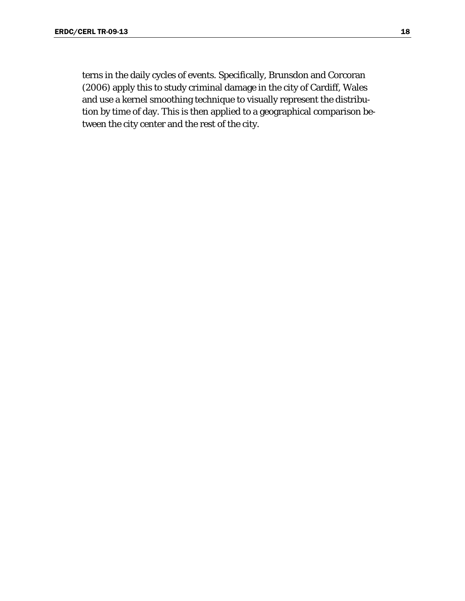terns in the daily cycles of events. Specifically, Brunsdon and Corcoran (2006) apply this to study criminal damage in the city of Cardiff, Wales and use a kernel smoothing technique to visually represent the distribution by time of day. This is then applied to a geographical comparison between the city center and the rest of the city.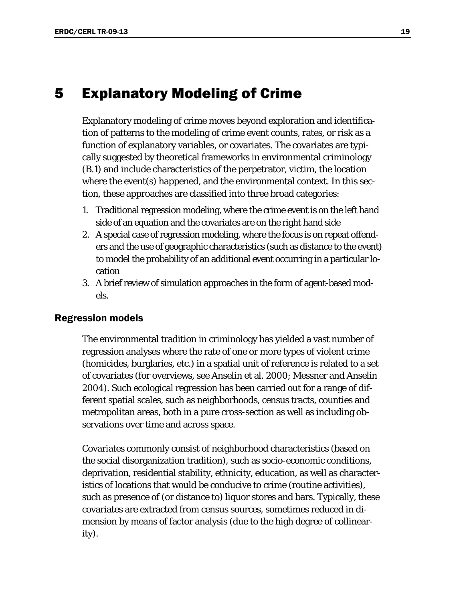# <span id="page-24-0"></span>5 Explanatory Modeling of Crime

Explanatory modeling of crime moves beyond exploration and identification of patterns to the modeling of crime event counts, rates, or risk as a function of explanatory variables, or covariates. The covariates are typically suggested by theoretical frameworks in environmental criminology (B.1) and include characteristics of the perpetrator, victim, the location where the event(s) happened, and the environmental context. In this section, these approaches are classified into three broad categories:

- 1. Traditional regression modeling, where the crime event is on the left hand side of an equation and the covariates are on the right hand side
- 2. A special case of regression modeling, where the focus is on repeat offenders and the use of geographic characteristics (such as distance to the event) to model the probability of an additional event occurring in a particular location
- 3. A brief review of simulation approaches in the form of agent-based models.

### <span id="page-24-1"></span>Regression models

The environmental tradition in criminology has yielded a vast number of regression analyses where the rate of one or more types of violent crime (homicides, burglaries, etc.) in a spatial unit of reference is related to a set of covariates (for overviews, see Anselin et al. 2000; Messner and Anselin 2004). Such ecological regression has been carried out for a range of different spatial scales, such as neighborhoods, census tracts, counties and metropolitan areas, both in a pure cross-section as well as including observations over time and across space.

Covariates commonly consist of neighborhood characteristics (based on the social disorganization tradition), such as socio-economic conditions, deprivation, residential stability, ethnicity, education, as well as characteristics of locations that would be conducive to crime (routine activities), such as presence of (or distance to) liquor stores and bars. Typically, these covariates are extracted from census sources, sometimes reduced in dimension by means of factor analysis (due to the high degree of collinearity).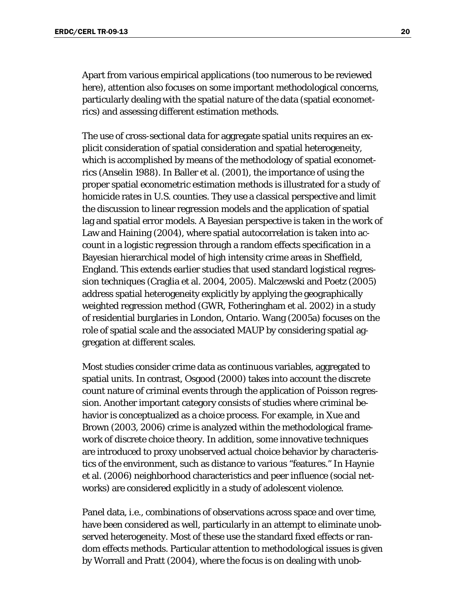Apart from various empirical applications (too numerous to be reviewed here), attention also focuses on some important methodological concerns, particularly dealing with the spatial nature of the data (spatial econometrics) and assessing different estimation methods.

The use of cross-sectional data for aggregate spatial units requires an explicit consideration of spatial consideration and spatial heterogeneity, which is accomplished by means of the methodology of spatial econometrics (Anselin 1988). In Baller et al. (2001), the importance of using the proper spatial econometric estimation methods is illustrated for a study of homicide rates in U.S. counties. They use a classical perspective and limit the discussion to linear regression models and the application of spatial lag and spatial error models. A Bayesian perspective is taken in the work of Law and Haining (2004), where spatial autocorrelation is taken into account in a logistic regression through a random effects specification in a Bayesian hierarchical model of high intensity crime areas in Sheffield, England. This extends earlier studies that used standard logistical regression techniques (Craglia et al. 2004, 2005). Malczewski and Poetz (2005) address spatial heterogeneity explicitly by applying the geographically weighted regression method (GWR, Fotheringham et al. 2002) in a study of residential burglaries in London, Ontario. Wang (2005a) focuses on the role of spatial scale and the associated MAUP by considering spatial aggregation at different scales.

Most studies consider crime data as continuous variables, aggregated to spatial units. In contrast, Osgood (2000) takes into account the discrete count nature of criminal events through the application of Poisson regression. Another important category consists of studies where criminal behavior is conceptualized as a choice process. For example, in Xue and Brown (2003, 2006) crime is analyzed within the methodological framework of discrete choice theory. In addition, some innovative techniques are introduced to proxy unobserved actual choice behavior by characteristics of the environment, such as distance to various "features." In Haynie et al. (2006) neighborhood characteristics and peer influence (social networks) are considered explicitly in a study of adolescent violence.

Panel data, i.e., combinations of observations across space and over time, have been considered as well, particularly in an attempt to eliminate unobserved heterogeneity. Most of these use the standard fixed effects or random effects methods. Particular attention to methodological issues is given by Worrall and Pratt (2004), where the focus is on dealing with unob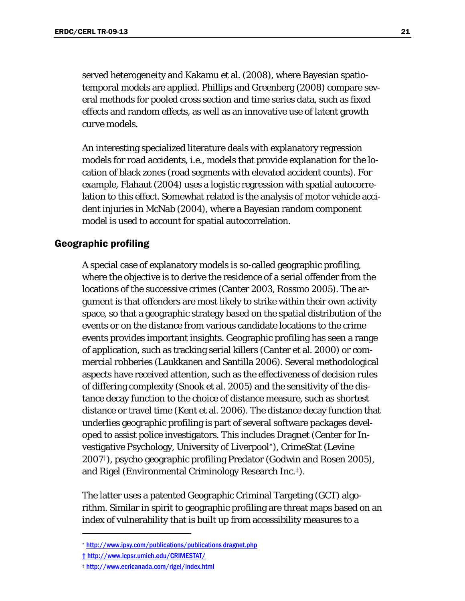<span id="page-26-1"></span>served heterogeneity and Kakamu et al. (2008), where Bayesian spatiotemporal models are applied. Phillips and Greenberg (2008) compare several methods for pooled cross section and time series data, such as fixed effects and random effects, as well as an innovative use of latent growth curve models.

An interesting specialized literature deals with explanatory regression models for road accidents, i.e., models that provide explanation for the location of black zones (road segments with elevated accident counts). For example, Flahaut (2004) uses a logistic regression with spatial autocorrelation to this effect. Somewhat related is the analysis of motor vehicle accident injuries in McNab (2004), where a Bayesian random component model is used to account for spatial autocorrelation.

### <span id="page-26-0"></span>Geographic profiling

A special case of explanatory models is so-called geographic profiling, where the objective is to derive the residence of a serial offender from the locations of the successive crimes (Canter 2003, Rossmo 2005). The argument is that offenders are most likely to strike within their own activity space, so that a geographic strategy based on the spatial distribution of the events or on the distance from various candidate locations to the crime events provides important insights. Geographic profiling has seen a range of application, such as tracking serial killers (Canter et al. 2000) or commercial robberies (Laukkanen and Santilla 2006). Several methodological aspects have received attention, such as the effectiveness of decision rules of differing complexity (Snook et al. 2005) and the sensitivity of the distance decay function to the choice of distance measure, such as shortest distance or travel time (Kent et al. 2006). The distance decay function that underlies geographic profiling is part of several software packages developed to assist police investigators. This includes Dragnet (Center for Investigative Psychology, University of Liverpool[\\*](#page-26-1)), CrimeStat (Levine 2007[†](#page-26-1)), psycho geographic profiling Predator (Godwin and Rosen 2005), and Rigel (Environmental Criminology Research Inc.[‡](#page-26-1)).

The latter uses a patented Geographic Criminal Targeting (GCT) algorithm. Similar in spirit to geographic profiling are threat maps based on an index of vulnerability that is built up from accessibility measures to a

 $\overline{a}$ 

<sup>\*</sup> <http://www.ipsy.com/publications/publications>dragnet.php

<sup>†</sup> http://www.icpsr.umich.edu/CRIMESTAT/

<sup>‡</sup> <http://www.ecricanada.com/rigel/index.html>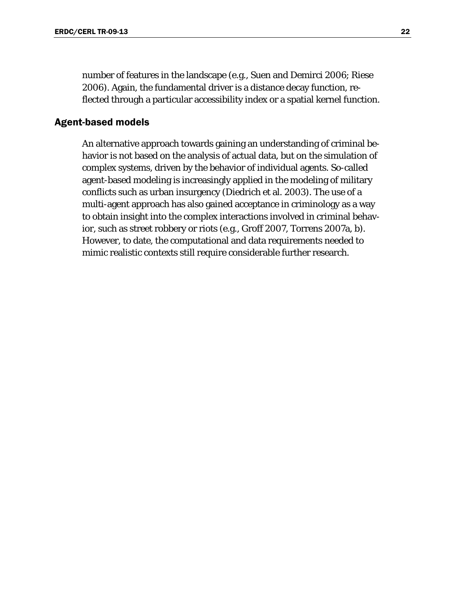number of features in the landscape (e.g., Suen and Demirci 2006; Riese 2006). Again, the fundamental driver is a distance decay function, reflected through a particular accessibility index or a spatial kernel function.

### <span id="page-27-0"></span>Agent-based models

An alternative approach towards gaining an understanding of criminal behavior is not based on the analysis of actual data, but on the simulation of complex systems, driven by the behavior of individual agents. So-called agent-based modeling is increasingly applied in the modeling of military conflicts such as urban insurgency (Diedrich et al. 2003). The use of a multi-agent approach has also gained acceptance in criminology as a way to obtain insight into the complex interactions involved in criminal behavior, such as street robbery or riots (e.g., Groff 2007, Torrens 2007a, b). However, to date, the computational and data requirements needed to mimic realistic contexts still require considerable further research.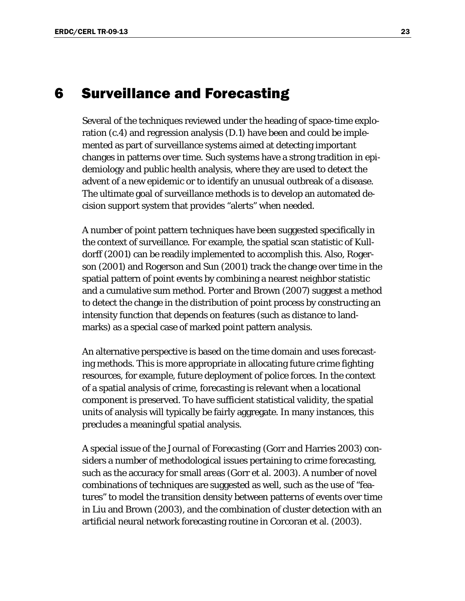## <span id="page-28-0"></span>6 Surveillance and Forecasting

Several of the techniques reviewed under the heading of space-time exploration (c.4) and regression analysis (D.1) have been and could be implemented as part of surveillance systems aimed at detecting important changes in patterns over time. Such systems have a strong tradition in epidemiology and public health analysis, where they are used to detect the advent of a new epidemic or to identify an unusual outbreak of a disease. The ultimate goal of surveillance methods is to develop an automated decision support system that provides "alerts" when needed.

A number of point pattern techniques have been suggested specifically in the context of surveillance. For example, the spatial scan statistic of Kulldorff (2001) can be readily implemented to accomplish this. Also, Rogerson (2001) and Rogerson and Sun (2001) track the change over time in the spatial pattern of point events by combining a nearest neighbor statistic and a cumulative sum method. Porter and Brown (2007) suggest a method to detect the change in the distribution of point process by constructing an intensity function that depends on features (such as distance to landmarks) as a special case of marked point pattern analysis.

An alternative perspective is based on the time domain and uses forecasting methods. This is more appropriate in allocating future crime fighting resources, for example, future deployment of police forces. In the context of a spatial analysis of crime, forecasting is relevant when a locational component is preserved. To have sufficient statistical validity, the spatial units of analysis will typically be fairly aggregate. In many instances, this precludes a meaningful spatial analysis.

A special issue of the *Journal of Forecasting* (Gorr and Harries 2003) considers a number of methodological issues pertaining to crime forecasting, such as the accuracy for small areas (Gorr et al. 2003). A number of novel combinations of techniques are suggested as well, such as the use of "features" to model the transition density between patterns of events over time in Liu and Brown (2003), and the combination of cluster detection with an artificial neural network forecasting routine in Corcoran et al. (2003).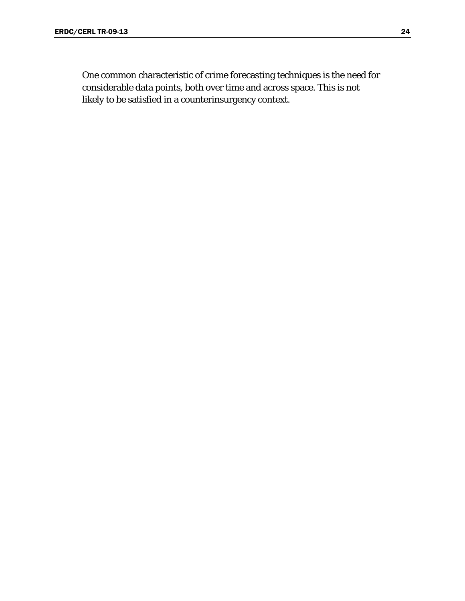One common characteristic of crime forecasting techniques is the need for considerable data points, both over time and across space. This is not likely to be satisfied in a counterinsurgency context.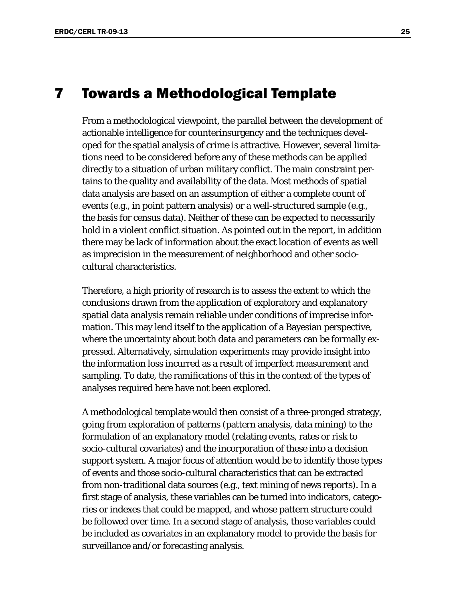### <span id="page-30-0"></span>7 Towards a Methodological Template

From a methodological viewpoint, the parallel between the development of actionable intelligence for counterinsurgency and the techniques developed for the spatial analysis of crime is attractive. However, several limitations need to be considered before any of these methods can be applied directly to a situation of urban military conflict. The main constraint pertains to the quality and availability of the data. Most methods of spatial data analysis are based on an assumption of either a complete count of events (e.g., in point pattern analysis) or a well-structured sample (e.g., the basis for census data). Neither of these can be expected to necessarily hold in a violent conflict situation. As pointed out in the report, in addition there may be lack of information about the exact location of events as well as imprecision in the measurement of neighborhood and other sociocultural characteristics.

Therefore, a high priority of research is to assess the extent to which the conclusions drawn from the application of exploratory and explanatory spatial data analysis remain reliable under conditions of imprecise information. This may lend itself to the application of a Bayesian perspective, where the uncertainty about both data and parameters can be formally expressed. Alternatively, simulation experiments may provide insight into the information loss incurred as a result of imperfect measurement and sampling. To date, the ramifications of this in the context of the types of analyses required here have not been explored.

A methodological template would then consist of a three-pronged strategy, going from exploration of patterns (pattern analysis, data mining) to the formulation of an explanatory model (relating events, rates or risk to socio-cultural covariates) and the incorporation of these into a decision support system. A major focus of attention would be to identify those types of events and those socio-cultural characteristics that can be extracted from non-traditional data sources (e.g., text mining of news reports). In a first stage of analysis, these variables can be turned into indicators, categories or indexes that could be mapped, and whose pattern structure could be followed over time. In a second stage of analysis, those variables could be included as covariates in an explanatory model to provide the basis for surveillance and/or forecasting analysis.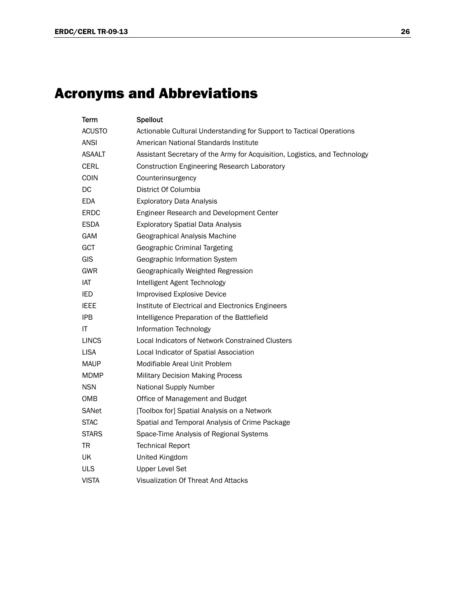# <span id="page-31-0"></span>Acronyms and Abbreviations

| Term          | <b>Spellout</b>                                                            |
|---------------|----------------------------------------------------------------------------|
| <b>ACUSTO</b> | Actionable Cultural Understanding for Support to Tactical Operations       |
| <b>ANSI</b>   | American National Standards Institute                                      |
| <b>ASAALT</b> | Assistant Secretary of the Army for Acquisition, Logistics, and Technology |
| <b>CERL</b>   | <b>Construction Engineering Research Laboratory</b>                        |
| <b>COIN</b>   | Counterinsurgency                                                          |
| DC            | District Of Columbia                                                       |
| <b>EDA</b>    | <b>Exploratory Data Analysis</b>                                           |
| ERDC          | Engineer Research and Development Center                                   |
| <b>ESDA</b>   | <b>Exploratory Spatial Data Analysis</b>                                   |
| <b>GAM</b>    | Geographical Analysis Machine                                              |
| GCT           | Geographic Criminal Targeting                                              |
| GIS           | Geographic Information System                                              |
| GWR           | Geographically Weighted Regression                                         |
| IAT           | Intelligent Agent Technology                                               |
| IED           | <b>Improvised Explosive Device</b>                                         |
| <b>IEEE</b>   | Institute of Electrical and Electronics Engineers                          |
| <b>IPB</b>    | Intelligence Preparation of the Battlefield                                |
| ΙT            | Information Technology                                                     |
| <b>LINCS</b>  | Local Indicators of Network Constrained Clusters                           |
| <b>LISA</b>   | Local Indicator of Spatial Association                                     |
| <b>MAUP</b>   | Modifiable Areal Unit Problem                                              |
| <b>MDMP</b>   | <b>Military Decision Making Process</b>                                    |
| <b>NSN</b>    | <b>National Supply Number</b>                                              |
| OMB           | Office of Management and Budget                                            |
| SANet         | [Toolbox for] Spatial Analysis on a Network                                |
| STAC          | Spatial and Temporal Analysis of Crime Package                             |
| <b>STARS</b>  | Space-Time Analysis of Regional Systems                                    |
| TR            | <b>Technical Report</b>                                                    |
| UK            | United Kingdom                                                             |
| <b>ULS</b>    | <b>Upper Level Set</b>                                                     |
| <b>VISTA</b>  | Visualization Of Threat And Attacks                                        |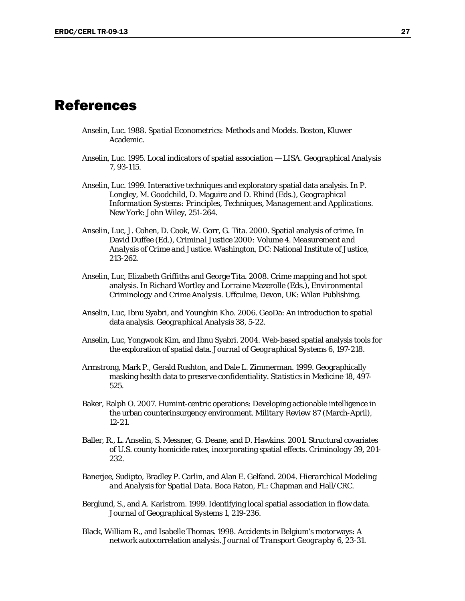### <span id="page-32-0"></span>References

- Anselin, Luc. 1988. *Spatial Econometrics: Methods and Models*. Boston, Kluwer Academic.
- Anselin, Luc. 1995. Local indicators of spatial association LISA. *Geographical Analysis* 7, 93-115.
- Anselin, Luc. 1999. Interactive techniques and exploratory spatial data analysis. In P. Longley, M. Goodchild, D. Maguire and D. Rhind (Eds.), *Geographical Information Systems: Principles, Techniques, Management and Applications*. New York: John Wiley, 251-264.
- Anselin, Luc, J. Cohen, D. Cook, W. Gorr, G. Tita. 2000. Spatial analysis of crime. In David Duffee (Ed.), *Criminal Justice 2000: Volume 4. Measurement and Analysis of Crime and Justice*. Washington, DC: National Institute of Justice, 213-262.
- Anselin, Luc, Elizabeth Griffiths and George Tita. 2008. Crime mapping and hot spot analysis. In Richard Wortley and Lorraine Mazerolle (Eds.), *Environmental Criminology and Crime Analysis*. Uffculme, Devon, UK: Wilan Publishing.
- Anselin, Luc, Ibnu Syabri, and Younghin Kho. 2006. GeoDa: An introduction to spatial data analysis. *Geographical Analysis* 38, 5-22.
- Anselin, Luc, Yongwook Kim, and Ibnu Syabri. 2004. Web-based spatial analysis tools for the exploration of spatial data. *Journal of Geographical Systems* 6, 197-218.
- Armstrong, Mark P., Gerald Rushton, and Dale L. Zimmerman. 1999. Geographically masking health data to preserve confidentiality. *Statistics in Medicine* 18, 497- 525.
- Baker, Ralph O. 2007. Humint-centric operations: Developing actionable intelligence in the urban counterinsurgency environment. *Military Review* 87 (March-April), 12-21.
- Baller, R., L. Anselin, S. Messner, G. Deane, and D. Hawkins. 2001. Structural covariates of U.S. county homicide rates, incorporating spatial effects. *Criminology* 39, 201- 232.
- Banerjee, Sudipto, Bradley P. Carlin, and Alan E. Gelfand. 2004. *Hierarchical Modeling and Analysis for Spatial Data*. Boca Raton, FL: Chapman and Hall/CRC.
- Berglund, S., and A. Karlstrom. 1999. Identifying local spatial association in flow data. *Journal of Geographical Systems* 1, 219-236.
- Black, William R., and Isabelle Thomas. 1998. Accidents in Belgium's motorways: A network autocorrelation analysis. *Journal of Transport Geography* 6, 23-31.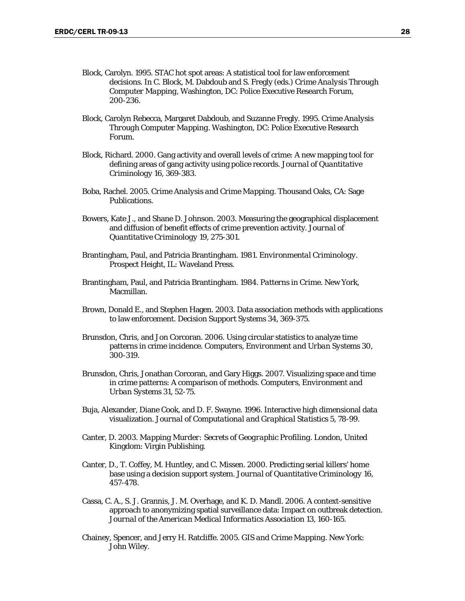- Block, Carolyn. 1995. STAC hot spot areas: A statistical tool for law enforcement decisions. In C. Block, M. Dabdoub and S. Fregly (eds.) *Crime Analysis Through Computer Mapping*, Washington, DC: Police Executive Research Forum, 200-236.
- Block, Carolyn Rebecca, Margaret Dabdoub, and Suzanne Fregly. 1995. *Crime Analysis Through Computer Mapping*. Washington, DC: Police Executive Research Forum.
- Block, Richard. 2000. Gang activity and overall levels of crime: A new mapping tool for defining areas of gang activity using police records. *Journal of Quantitative Criminology* 16, 369-383.
- Boba, Rachel. 2005. *Crime Analysis and Crime Mapping*. Thousand Oaks, CA: Sage Publications.
- Bowers, Kate J., and Shane D. Johnson. 2003. Measuring the geographical displacement and diffusion of benefit effects of crime prevention activity. *Journal of Quantitative Criminology* 19, 275-301.
- Brantingham, Paul, and Patricia Brantingham. 1981. *Environmental Criminology*. Prospect Height, IL: Waveland Press.
- Brantingham, Paul, and Patricia Brantingham. 1984. *Patterns in Crime*. New York, Macmillan.
- Brown, Donald E., and Stephen Hagen. 2003. Data association methods with applications to law enforcement. *Decision Support Systems* 34, 369-375.
- Brunsdon, Chris, and Jon Corcoran. 2006. Using circular statistics to analyze time patterns in crime incidence. *Computers, Environment and Urban Systems* 30, 300-319.
- Brunsdon, Chris, Jonathan Corcoran, and Gary Higgs. 2007. Visualizing space and time in crime patterns: A comparison of methods. *Computers, Environment and Urban Systems* 31, 52-75.
- Buja, Alexander, Diane Cook, and D. F. Swayne. 1996. Interactive high dimensional data visualization. *Journal of Computational and Graphical Statistics* 5, 78-99.
- Canter, D. 2003. *Mapping Murder: Secrets of Geographic Profiling*. London, United Kingdom: Virgin Publishing.
- Canter, D., T. Coffey, M. Huntley, and C. Missen. 2000. Predicting serial killers' home base using a decision support system. *Journal of Quantitative Criminology* 16, 457-478.
- Cassa, C. A., S. J. Grannis, J. M. Overhage, and K. D. Mandl. 2006. A context-sensitive approach to anonymizing spatial surveillance data: Impact on outbreak detection. *Journal of the American Medical Informatics Association* 13, 160-165.
- Chainey, Spencer, and Jerry H. Ratcliffe. 2005. *GIS and Crime Mapping*. New York: John Wiley.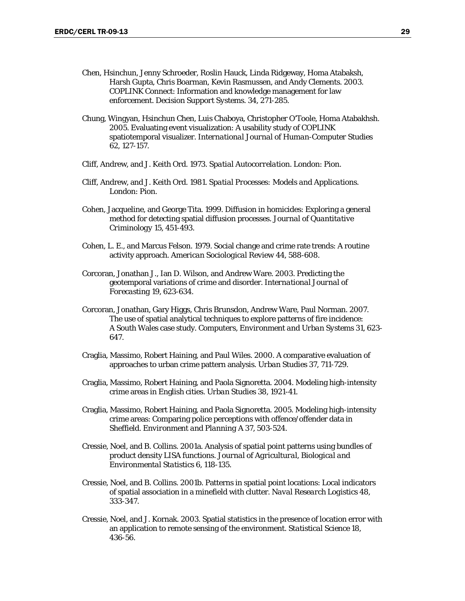- Chen, Hsinchun, Jenny Schroeder, Roslin Hauck, Linda Ridgeway, Homa Atabaksh, Harsh Gupta, Chris Boarman, Kevin Rasmussen, and Andy Clements. 2003. COPLINK Connect: Information and knowledge management for law enforcement. *Decision Support Systems.* 34, 271-285.
- Chung, Wingyan, Hsinchun Chen, Luis Chaboya, Christopher O'Toole, Homa Atabakhsh. 2005. Evaluating event visualization: A usability study of COPLINK spatiotemporal visualizer. *International Journal of Human-Computer Studies*  62, 127-157.
- Cliff, Andrew, and J. Keith Ord. 1973. *Spatial Autocorrelation*. London: Pion.
- Cliff, Andrew, and J. Keith Ord. 1981. *Spatial Processes: Models and Applications*. London: Pion.
- Cohen, Jacqueline, and George Tita. 1999. Diffusion in homicides: Exploring a general method for detecting spatial diffusion processes. *Journal of Quantitative Criminology* 15, 451-493.
- Cohen, L. E., and Marcus Felson. 1979. Social change and crime rate trends: A routine activity approach. *American Sociological Review* 44, 588-608.
- Corcoran, Jonathan J., Ian D. Wilson, and Andrew Ware. 2003. Predicting the geotemporal variations of crime and disorder. *International Journal of Forecasting* 19, 623-634.
- Corcoran, Jonathan, Gary Higgs, Chris Brunsdon, Andrew Ware, Paul Norman. 2007. The use of spatial analytical techniques to explore patterns of fire incidence: A South Wales case study. *Computers, Environment and Urban Systems* 31, 623- 647.
- Craglia, Massimo, Robert Haining, and Paul Wiles. 2000. A comparative evaluation of approaches to urban crime pattern analysis. *Urban Studies* 37, 711-729.
- Craglia, Massimo, Robert Haining, and Paola Signoretta. 2004. Modeling high-intensity crime areas in English cities. *Urban Studies* 38, 1921-41.
- Craglia, Massimo, Robert Haining, and Paola Signoretta. 2005. Modeling high-intensity crime areas: Comparing police perceptions with offence/offender data in Sheffield. *Environment and Planning A* 37, 503-524.
- Cressie, Noel, and B. Collins. 2001a. Analysis of spatial point patterns using bundles of product density LISA functions. *Journal of Agricultural, Biological and Environmental Statistics* 6, 118-135.
- Cressie, Noel, and B. Collins. 2001b. Patterns in spatial point locations: Local indicators of spatial association in a minefield with clutter. *Naval Research Logistics* 48, 333-347.
- Cressie, Noel, and J. Kornak. 2003. Spatial statistics in the presence of location error with an application to remote sensing of the environment. *Statistical Science* 18, 436-56.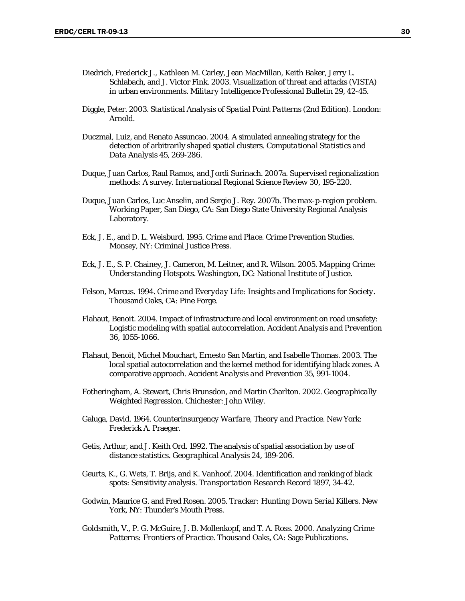- Diedrich, Frederick J., Kathleen M. Carley, Jean MacMillan, Keith Baker, Jerry L. Schlabach, and J. Victor Fink. 2003. Visualization of threat and attacks (VISTA) in urban environments. *Military Intelligence Professional Bulletin* 29, 42-45.
- Diggle, Peter. 2003. *Statistical Analysis of Spatial Point Patterns (2nd Edition)*. London: Arnold.
- Duczmal, Luiz, and Renato Assuncao. 2004. A simulated annealing strategy for the detection of arbitrarily shaped spatial clusters. *Computational Statistics and Data Analysis* 45, 269-286.
- Duque, Juan Carlos, Raul Ramos, and Jordi Surinach. 2007a. Supervised regionalization methods: A survey. *International Regional Science Review* 30, 195-220.
- Duque, Juan Carlos, Luc Anselin, and Sergio J. Rey. 2007b. *The max-p-region problem*. Working Paper, San Diego, CA: San Diego State University Regional Analysis Laboratory.
- Eck, J. E., and D. L. Weisburd. 1995. *Crime and Place. Crime Prevention Studies.* Monsey, NY: Criminal Justice Press.
- Eck, J. E., S. P. Chainey, J. Cameron, M. Leitner, and R. Wilson. 2005. *Mapping Crime: Understanding Hotspots*. Washington, DC: National Institute of Justice.
- Felson, Marcus. 1994. *Crime and Everyday Life: Insights and Implications for Society*. Thousand Oaks, CA: Pine Forge.
- Flahaut, Benoit. 2004. Impact of infrastructure and local environment on road unsafety: Logistic modeling with spatial autocorrelation. *Accident Analysis and Prevention*  36, 1055-1066.
- Flahaut, Benoit, Michel Mouchart, Ernesto San Martin, and Isabelle Thomas. 2003. The local spatial autocorrelation and the kernel method for identifying black zones. A comparative approach. *Accident Analysis and Prevention* 35, 991-1004.
- Fotheringham, A. Stewart, Chris Brunsdon, and Martin Charlton. 2002. *Geographically Weighted Regression*. Chichester: John Wiley.
- Galuga, David. 1964. *Counterinsurgency Warfare, Theory and Practice*. New York: Frederick A. Praeger.
- Getis, Arthur, and J. Keith Ord. 1992. The analysis of spatial association by use of distance statistics. *Geographical Analysis* 24, 189-206.
- Geurts, K., G. Wets, T. Brijs, and K. Vanhoof. 2004. Identification and ranking of black spots: Sensitivity analysis. *Transportation Research Record* 1897, 34-42.
- Godwin, Maurice G. and Fred Rosen. 2005. *Tracker: Hunting Down Serial Killers*. New York, NY: Thunder's Mouth Press.
- Goldsmith, V., P. G. McGuire, J. B. Mollenkopf, and T. A. Ross. 2000. *Analyzing Crime Patterns: Frontiers of Practice*. Thousand Oaks, CA: Sage Publications.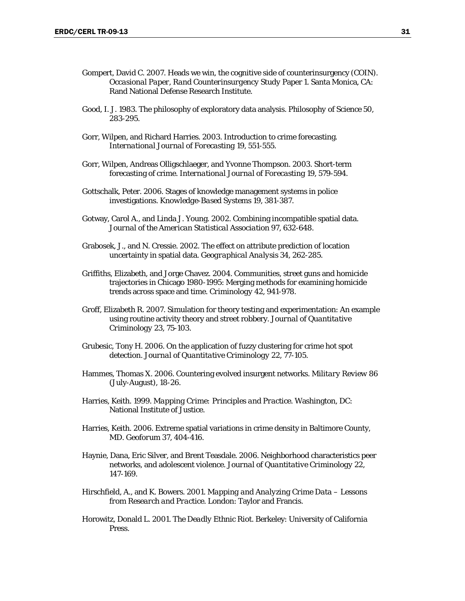- Gompert, David C. 2007. Heads we win, the cognitive side of counterinsurgency (COIN). *Occasional Paper, Rand Counterinsurgency Study* Paper 1. Santa Monica, CA: Rand National Defense Research Institute.
- Good, I. J. 1983. The philosophy of exploratory data analysis. *Philosophy of Science* 50, 283-295.
- Gorr, Wilpen, and Richard Harries. 2003. Introduction to crime forecasting. *International Journal of Forecasting* 19, 551-555.
- Gorr, Wilpen, Andreas Olligschlaeger, and Yvonne Thompson. 2003. Short-term forecasting of crime. *International Journal of Forecasting* 19, 579-594.
- Gottschalk, Peter. 2006. Stages of knowledge management systems in police investigations. *Knowledge-Based Systems* 19, 381-387.
- Gotway, Carol A., and Linda J. Young. 2002. Combining incompatible spatial data. *Journal of the American Statistical Association* 97, 632-648.
- Grabosek, J., and N. Cressie. 2002. The effect on attribute prediction of location uncertainty in spatial data. *Geographical Analysis* 34, 262-285.
- Griffiths, Elizabeth, and Jorge Chavez. 2004. Communities, street guns and homicide trajectories in Chicago 1980-1995: Merging methods for examining homicide trends across space and time. *Criminology* 42, 941-978.
- Groff, Elizabeth R. 2007. Simulation for theory testing and experimentation: An example using routine activity theory and street robbery. *Journal of Quantitative Criminology* 23, 75-103.
- Grubesic, Tony H. 2006. On the application of fuzzy clustering for crime hot spot detection. *Journal of Quantitative Criminology* 22, 77-105.
- Hammes, Thomas X. 2006. Countering evolved insurgent networks. *Military Review* 86 (July-August), 18-26.
- Harries, Keith. 1999. *Mapping Crime: Principles and Practice*. Washington, DC: National Institute of Justice.
- Harries, Keith. 2006. Extreme spatial variations in crime density in Baltimore County, MD. *Geoforum* 37, 404-416.
- Haynie, Dana, Eric Silver, and Brent Teasdale. 2006. Neighborhood characteristics peer networks, and adolescent violence. *Journal of Quantitative Criminology* 22, 147-169.
- Hirschfield, A., and K. Bowers. 2001. *Mapping and Analyzing Crime Data Lessons from Research and Practice*. London: Taylor and Francis.
- Horowitz, Donald L. 2001. *The Deadly Ethnic Riot*. Berkeley: University of California Press.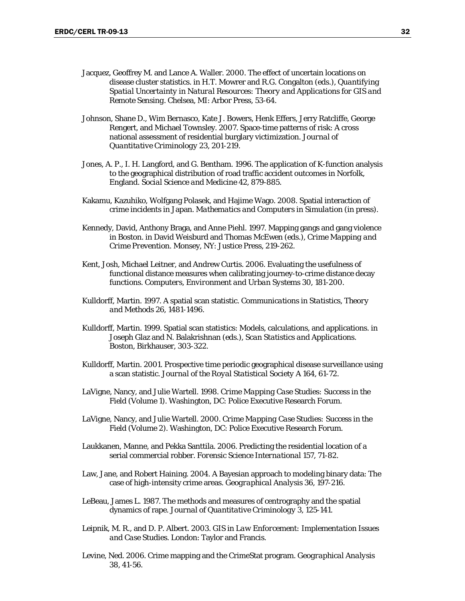- Jacquez, Geoffrey M. and Lance A. Waller. 2000. The effect of uncertain locations on disease cluster statistics. in H.T. Mowrer and R.G. Congalton (eds.), *Quantifying Spatial Uncertainty in Natural Resources: Theory and Applications for GIS and Remote Sensing*. Chelsea, MI: Arbor Press, 53-64.
- Johnson, Shane D., Wim Bernasco, Kate J. Bowers, Henk Effers, Jerry Ratcliffe, George Rengert, and Michael Townsley. 2007. Space-time patterns of risk: A cross national assessment of residential burglary victimization. *Journal of Quantitative Criminology* 23, 201-219.
- Jones, A. P., I. H. Langford, and G. Bentham. 1996. The application of K-function analysis to the geographical distribution of road traffic accident outcomes in Norfolk, England. *Social Science and Medicine* 42, 879-885.
- Kakamu, Kazuhiko, Wolfgang Polasek, and Hajime Wago. 2008. Spatial interaction of crime incidents in Japan. *Mathematics and Computers in Simulation* (in press).
- Kennedy, David, Anthony Braga, and Anne Piehl. 1997. Mapping gangs and gang violence in Boston. in David Weisburd and Thomas McEwen (eds.), *Crime Mapping and Crime Prevention*. Monsey, NY: Justice Press, 219-262.
- Kent, Josh, Michael Leitner, and Andrew Curtis. 2006. Evaluating the usefulness of functional distance measures when calibrating journey-to-crime distance decay functions. *Computers, Environment and Urban Systems* 30, 181-200.
- Kulldorff, Martin. 1997. A spatial scan statistic. *Communications in Statistics, Theory and Methods* 26, 1481-1496.
- Kulldorff, Martin. 1999. Spatial scan statistics: Models, calculations, and applications. in Joseph Glaz and N. Balakrishnan (eds.), *Scan Statistics and Applications*. Boston, Birkhauser, 303-322.
- Kulldorff, Martin. 2001. Prospective time periodic geographical disease surveillance using a scan statistic. *Journal of the Royal Statistical Society A* 164, 61-72.
- LaVigne, Nancy, and Julie Wartell. 1998. *Crime Mapping Case Studies: Success in the Field (Volume 1)*. Washington, DC: Police Executive Research Forum.
- LaVigne, Nancy, and Julie Wartell. 2000. *Crime Mapping Case Studies: Success in the Field (Volume 2)*. Washington, DC: Police Executive Research Forum.
- Laukkanen, Manne, and Pekka Santtila. 2006. Predicting the residential location of a serial commercial robber. *Forensic Science International* 157, 71-82.
- Law, Jane, and Robert Haining. 2004. A Bayesian approach to modeling binary data: The case of high-intensity crime areas. *Geographical Analysis* 36, 197-216.
- LeBeau, James L. 1987. The methods and measures of centrography and the spatial dynamics of rape. *Journal of Quantitative Criminology* 3, 125-141.
- Leipnik, M. R., and D. P. Albert. 2003. *GIS in Law Enforcement: Implementation Issues and Case Studies*. London: Taylor and Francis.
- Levine, Ned. 2006. Crime mapping and the CrimeStat program. *Geographical Analysis*  38, 41-56.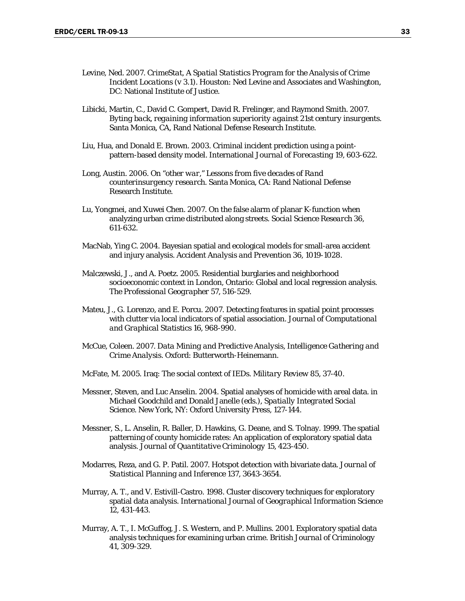- Levine, Ned. 2007. *CrimeStat, A Spatial Statistics Program for the Analysis of Crime Incident Locations (v 3.1).* Houston: Ned Levine and Associates and Washington, DC: National Institute of Justice.
- Libicki, Martin, C., David C. Gompert, David R. Frelinger, and Raymond Smith. 2007. *Byting back, regaining information superiority against 21st century insurgents*. Santa Monica, CA, Rand National Defense Research Institute.
- Liu, Hua, and Donald E. Brown. 2003. Criminal incident prediction using a pointpattern-based density model. International *Journal of Forecasting* 19, 603-622.
- Long, Austin. 2006. *On "other war," Lessons from five decades of Rand counterinsurgency research*. Santa Monica, CA: Rand National Defense Research Institute.
- Lu, Yongmei, and Xuwei Chen. 2007. On the false alarm of planar K-function when analyzing urban crime distributed along streets. *Social Science Research* 36, 611-632.
- MacNab, Ying C. 2004. Bayesian spatial and ecological models for small-area accident and injury analysis. *Accident Analysis and Prevention* 36, 1019-1028.
- Malczewski, J., and A. Poetz. 2005. Residential burglaries and neighborhood socioeconomic context in London, Ontario: Global and local regression analysis. *The Professional Geographer* 57, 516-529.
- Mateu, J., G. Lorenzo, and E. Porcu. 2007. Detecting features in spatial point processes with clutter via local indicators of spatial association. *Journal of Computational and Graphical Statistics* 16, 968-990.
- McCue, Coleen. 2007. *Data Mining and Predictive Analysis, Intelligence Gathering and Crime Analysis*. Oxford: Butterworth-Heinemann.
- McFate, M. 2005. Iraq: The social context of IEDs. *Military Review* 85, 37-40.
- Messner, Steven, and Luc Anselin. 2004. Spatial analyses of homicide with areal data. in Michael Goodchild and Donald Janelle (eds.), *Spatially Integrated Social Science*. New York, NY: Oxford University Press, 127-144.
- Messner, S., L. Anselin, R. Baller, D. Hawkins, G. Deane, and S. Tolnay. 1999. The spatial patterning of county homicide rates: An application of exploratory spatial data analysis. *Journal of Quantitative Criminology* 15, 423-450.
- Modarres, Reza, and G. P. Patil. 2007. Hotspot detection with bivariate data. *Journal of Statistical Planning and Inference* 137, 3643-3654.
- Murray, A. T., and V. Estivill-Castro. 1998. Cluster discovery techniques for exploratory spatial data analysis. *International Journal of Geographical Information Science* 12, 431-443.
- Murray, A. T., I. McGuffog, J. S. Western, and P. Mullins. 2001. Exploratory spatial data analysis techniques for examining urban crime. *British Journal of Criminology*  41, 309-329.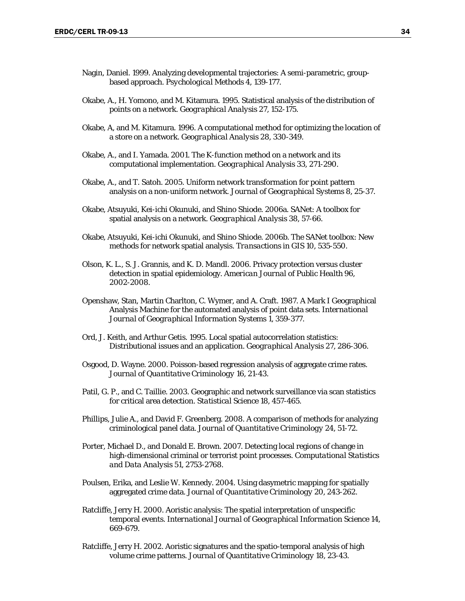- Nagin, Daniel. 1999. Analyzing developmental trajectories: A semi-parametric, groupbased approach. *Psychological Methods* 4, 139-177.
- Okabe, A., H. Yomono, and M. Kitamura. 1995. Statistical analysis of the distribution of points on a network. *Geographical Analysis* 27, 152-175.
- Okabe, A, and M. Kitamura. 1996. A computational method for optimizing the location of a store on a network. *Geographical Analysis* 28, 330-349.
- Okabe, A., and I. Yamada. 2001. The K-function method on a network and its computational implementation. *Geographical Analysis* 33, 271-290.
- Okabe, A., and T. Satoh. 2005. Uniform network transformation for point pattern analysis on a non-uniform network. *Journal of Geographical Systems* 8, 25-37.
- Okabe, Atsuyuki, Kei-ichi Okunuki, and Shino Shiode. 2006a. SANet: A toolbox for spatial analysis on a network. *Geographical Analysis* 38, 57-66.
- Okabe, Atsuyuki, Kei-ichi Okunuki, and Shino Shiode. 2006b. The SANet toolbox: New methods for network spatial analysis. *Transactions in GIS* 10, 535-550.
- Olson, K. L., S. J. Grannis, and K. D. Mandl. 2006. Privacy protection versus cluster detection in spatial epidemiology. *American Journal of Public Health* 96, 2002-2008.
- Openshaw, Stan, Martin Charlton, C. Wymer, and A. Craft. 1987. A Mark I Geographical Analysis Machine for the automated analysis of point data sets. *International Journal of Geographical Information Systems* 1, 359-377.
- Ord, J. Keith, and Arthur Getis. 1995. Local spatial autocorrelation statistics: Distributional issues and an application. *Geographical Analysis* 27, 286-306.
- Osgood, D. Wayne. 2000. Poisson-based regression analysis of aggregate crime rates. *Journal of Quantitative Criminology* 16, 21-43.
- Patil, G. P., and C. Taillie. 2003. Geographic and network surveillance via scan statistics for critical area detection. *Statistical Science* 18, 457-465.
- Phillips, Julie A., and David F. Greenberg. 2008. A comparison of methods for analyzing criminological panel data. *Journal of Quantitative Criminology* 24, 51-72.
- Porter, Michael D., and Donald E. Brown. 2007. Detecting local regions of change in high-dimensional criminal or terrorist point processes. *Computational Statistics and Data Analysis* 51, 2753-2768.
- Poulsen, Erika, and Leslie W. Kennedy. 2004. Using dasymetric mapping for spatially aggregated crime data. *Journal of Quantitative Criminology* 20, 243-262.
- Ratcliffe, Jerry H. 2000. Aoristic analysis: The spatial interpretation of unspecific temporal events. *International Journal of Geographical Information Science* 14, 669-679.
- Ratcliffe, Jerry H. 2002. Aoristic signatures and the spatio-temporal analysis of high volume crime patterns. *Journal of Quantitative Criminology* 18, 23-43.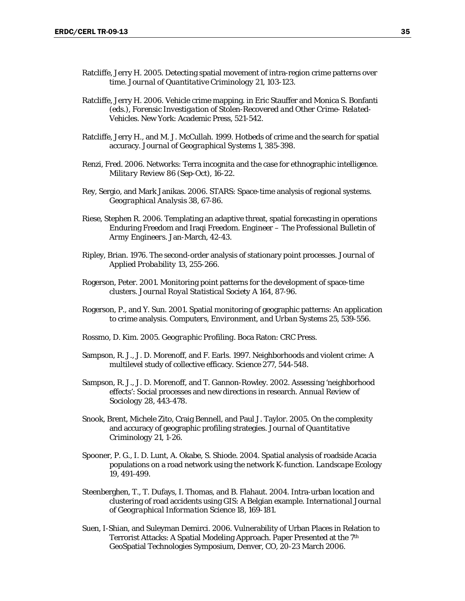- Ratcliffe, Jerry H. 2005. Detecting spatial movement of intra-region crime patterns over time. *Journal of Quantitative Criminology* 21, 103-123.
- Ratcliffe, Jerry H. 2006. Vehicle crime mapping. in Eric Stauffer and Monica S. Bonfanti (eds.), *Forensic Investigation of Stolen-Recovered and Other Crime- Related-Vehicles*. New York: Academic Press, 521-542.
- Ratcliffe, Jerry H., and M. J. McCullah. 1999. Hotbeds of crime and the search for spatial accuracy. *Journal of Geographical Systems* 1, 385-398.
- Renzi, Fred. 2006. Networks: Terra incognita and the case for ethnographic intelligence. *Military Review* 86 (Sep-Oct), 16-22.
- Rey, Sergio, and Mark Janikas. 2006. STARS: Space-time analysis of regional systems. *Geographical Analysis* 38, 67-86.
- Riese, Stephen R. 2006. Templating an adaptive threat, spatial forecasting in operations Enduring Freedom and Iraqi Freedom. *Engineer – The Professional Bulletin of Army Engineers*. Jan-March, 42-43.
- Ripley, Brian. 1976. The second-order analysis of stationary point processes. *Journal of Applied Probability* 13, 255-266.
- Rogerson, Peter. 2001. Monitoring point patterns for the development of space-time clusters. *Journal Royal Statistical Society A* 164, 87-96.
- Rogerson, P., and Y. Sun. 2001. Spatial monitoring of geographic patterns: An application to crime analysis. *Computers, Environment, and Urban Systems* 25, 539-556.
- Rossmo, D. Kim. 2005. *Geographic Profiling*. Boca Raton: CRC Press.
- Sampson, R. J., J. D. Morenoff, and F. Earls. 1997. Neighborhoods and violent crime: A multilevel study of collective efficacy. *Science* 277, 544-548.
- Sampson, R. J., J. D. Morenoff, and T. Gannon-Rowley. 2002. Assessing 'neighborhood effects': Social processes and new directions in research. *Annual Review of Sociology* 28, 443-478.
- Snook, Brent, Michele Zito, Craig Bennell, and Paul J. Taylor. 2005. On the complexity and accuracy of geographic profiling strategies. *Journal of Quantitative Criminology* 21, 1-26.
- Spooner, P. G., I. D. Lunt, A. Okabe, S. Shiode. 2004. Spatial analysis of roadside Acacia populations on a road network using the network K-function. *Landscape Ecology*  19, 491-499.
- Steenberghen, T., T. Dufays, I. Thomas, and B. Flahaut. 2004. Intra-urban location and clustering of road accidents using GIS: A Belgian example. *International Journal of Geographical Information Science* 18, 169-181.
- Suen, I-Shian, and Suleyman Demirci. 2006. Vulnerability of Urban Places in Relation to Terrorist Attacks: A Spatial Modeling Approach. Paper Presented at the 7<sup>th</sup> GeoSpatial Technologies Symposium, Denver, CO, 20-23 March 2006.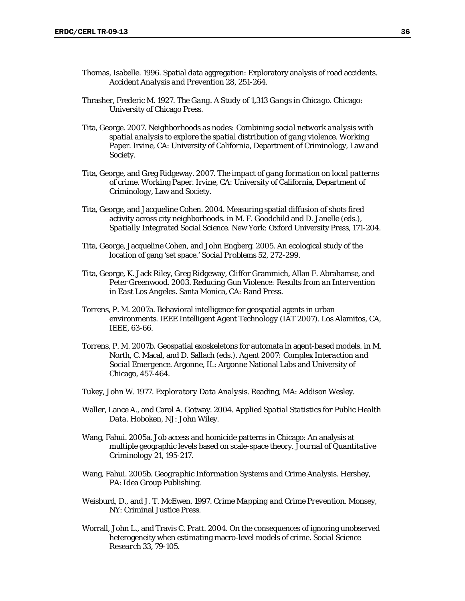- Thomas, Isabelle. 1996. Spatial data aggregation: Exploratory analysis of road accidents. *Accident Analysis and Prevention* 28, 251-264.
- Thrasher, Frederic M. 1927. *The Gang. A Study of 1,313 Gangs in Chicago*. Chicago: University of Chicago Press.
- Tita, George. 2007. *Neighborhoods as nodes: Combining social network analysis with spatial analysis to explore the spatial distribution of gang violence*. Working Paper. Irvine, CA: University of California, Department of Criminology, Law and Society.
- Tita, George, and Greg Ridgeway. 2007. *The impact of gang formation on local patterns of crime*. Working Paper. Irvine, CA: University of California, Department of Criminology, Law and Society.
- Tita, George, and Jacqueline Cohen. 2004. Measuring spatial diffusion of shots fired activity across city neighborhoods. in M. F. Goodchild and D. Janelle (eds.), *Spatially Integrated Social Science*. New York: Oxford University Press, 171-204.
- Tita, George, Jacqueline Cohen, and John Engberg. 2005. An ecological study of the location of gang 'set space.' *Social Problems* 52, 272-299.
- Tita, George, K. Jack Riley, Greg Ridgeway, Cliffor Grammich, Allan F. Abrahamse, and Peter Greenwood. 2003. *Reducing Gun Violence: Results from an Intervention in East Los Angeles*. Santa Monica, CA: Rand Press.
- Torrens, P. M. 2007a. Behavioral intelligence for geospatial agents in urban environments. *IEEE Intelligent Agent Technology* (IAT 2007). Los Alamitos, CA, IEEE, 63-66.
- Torrens, P. M. 2007b. Geospatial exoskeletons for automata in agent-based models. in M. North, C. Macal, and D. Sallach (eds.). *Agent 2007: Complex Interaction and Social Emergence*. Argonne, IL: Argonne National Labs and University of Chicago, 457-464.
- Tukey, John W. 1977. *Exploratory Data Analysis*. Reading, MA: Addison Wesley.
- Waller, Lance A., and Carol A. Gotway. 2004. *Applied Spatial Statistics for Public Health Data*. Hoboken, NJ: John Wiley.
- Wang, Fahui. 2005a. Job access and homicide patterns in Chicago: An analysis at multiple geographic levels based on scale-space theory. *Journal of Quantitative Criminology* 21, 195-217.
- Wang, Fahui. 2005b. *Geographic Information Systems and Crime Analysis*. Hershey, PA: Idea Group Publishing.
- Weisburd, D., and J. T. McEwen. 1997. *Crime Mapping and Crime Prevention*. Monsey, NY: Criminal Justice Press.
- Worrall, John L., and Travis C. Pratt. 2004. On the consequences of ignoring unobserved heterogeneity when estimating macro-level models of crime. *Social Science Research* 33, 79-105.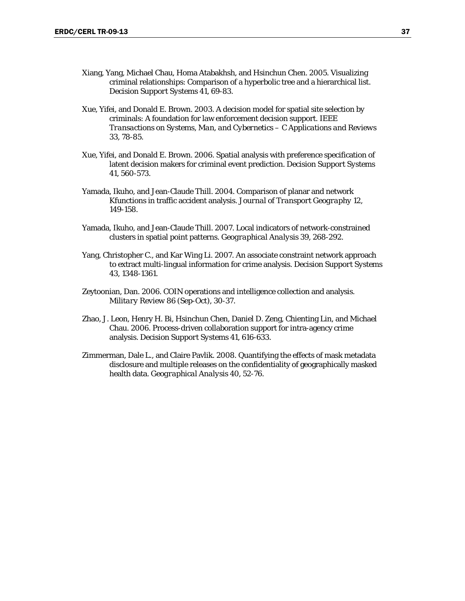- Xiang, Yang, Michael Chau, Homa Atabakhsh, and Hsinchun Chen. 2005. Visualizing criminal relationships: Comparison of a hyperbolic tree and a hierarchical list. *Decision Support Systems* 41, 69-83.
- Xue, Yifei, and Donald E. Brown. 2003. A decision model for spatial site selection by criminals: A foundation for law enforcement decision support. *IEEE Transactions on Systems, Man, and Cybernetics – C Applications and Reviews*  33, 78-85.
- Xue, Yifei, and Donald E. Brown. 2006. Spatial analysis with preference specification of latent decision makers for criminal event prediction. *Decision Support Systems* 41, 560-573.
- Yamada, Ikuho, and Jean-Claude Thill. 2004. Comparison of planar and network Kfunctions in traffic accident analysis. *Journal of Transport Geography* 12, 149-158.
- Yamada, Ikuho, and Jean-Claude Thill. 2007. Local indicators of network-constrained clusters in spatial point patterns. *Geographical Analysis* 39, 268-292.
- Yang, Christopher C., and Kar Wing Li. 2007. An associate constraint network approach to extract multi-lingual information for crime analysis. *Decision Support Systems* 43, 1348-1361.
- Zeytoonian, Dan. 2006. COIN operations and intelligence collection and analysis. *Military Review* 86 (Sep-Oct), 30-37.
- Zhao, J. Leon, Henry H. Bi, Hsinchun Chen, Daniel D. Zeng, Chienting Lin, and Michael Chau. 2006. Process-driven collaboration support for intra-agency crime analysis. *Decision Support Systems* 41, 616-633.
- Zimmerman, Dale L., and Claire Pavlik. 2008. Quantifying the effects of mask metadata disclosure and multiple releases on the confidentiality of geographically masked health data. *Geographical Analysis* 40, 52-76.